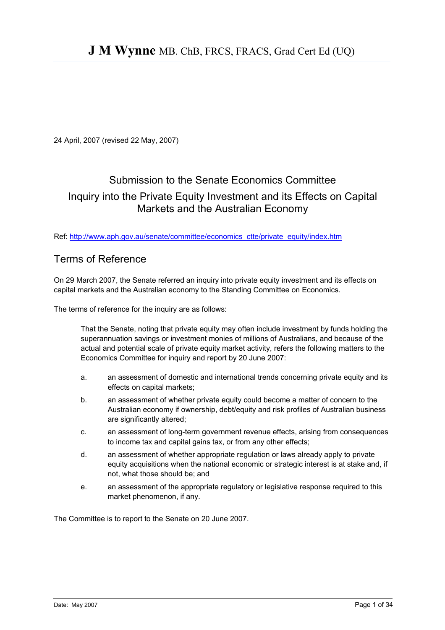24 April, 2007 (revised 22 May, 2007)

# Submission to the Senate Economics Committee

## Inquiry into the Private Equity Investment and its Effects on Capital Markets and the Australian Economy

Ref: [http://www.aph.gov.au/senate/committee/economics\\_ctte/private\\_equity/index.htm](http://www.aph.gov.au/senate/committee/economics_ctte/private_equity/index.htm)

## Terms of Reference

On 29 March 2007, the Senate referred an inquiry into private equity investment and its effects on capital markets and the Australian economy to the Standing Committee on Economics.

The terms of reference for the inquiry are as follows:

That the Senate, noting that private equity may often include investment by funds holding the superannuation savings or investment monies of millions of Australians, and because of the actual and potential scale of private equity market activity, refers the following matters to the Economics Committee for inquiry and report by 20 June 2007:

- a. an assessment of domestic and international trends concerning private equity and its effects on capital markets;
- b. an assessment of whether private equity could become a matter of concern to the Australian economy if ownership, debt/equity and risk profiles of Australian business are significantly altered;
- c. an assessment of long-term government revenue effects, arising from consequences to income tax and capital gains tax, or from any other effects;
- d. an assessment of whether appropriate regulation or laws already apply to private equity acquisitions when the national economic or strategic interest is at stake and, if not, what those should be; and
- e. an assessment of the appropriate regulatory or legislative response required to this market phenomenon, if any.

The Committee is to report to the Senate on 20 June 2007.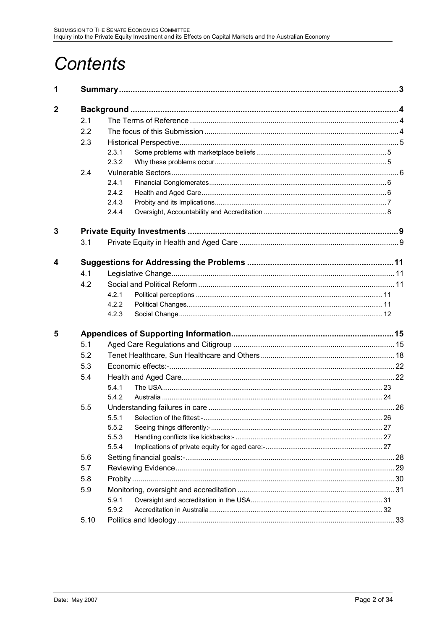# **Contents**

| 1           |      |       |                                  |        |
|-------------|------|-------|----------------------------------|--------|
| $\mathbf 2$ |      |       |                                  |        |
|             | 2.1  |       |                                  |        |
|             | 2.2  |       |                                  |        |
|             | 2.3  |       |                                  |        |
|             |      | 2.3.1 |                                  |        |
|             |      | 2.3.2 |                                  |        |
|             | 2.4  |       |                                  |        |
|             |      | 2.4.1 |                                  |        |
|             |      | 2.4.2 |                                  |        |
|             |      | 2.4.3 |                                  |        |
|             |      | 2.4.4 |                                  |        |
| 3           |      |       |                                  |        |
|             | 3.1  |       |                                  |        |
| 4           |      |       |                                  |        |
|             | 4.1  |       |                                  |        |
|             | 4.2  |       |                                  |        |
|             |      | 4.2.1 |                                  |        |
|             |      | 4.2.2 |                                  |        |
|             |      | 4.2.3 |                                  |        |
| 5           |      |       |                                  |        |
|             | 5.1  |       |                                  |        |
|             | 5.2  |       |                                  |        |
|             | 5.3  |       |                                  |        |
|             | 5.4  |       |                                  |        |
|             |      | 5.4.1 |                                  |        |
|             |      | 5.4.2 |                                  |        |
|             | 5.5  |       |                                  |        |
|             |      |       | 5.5.1 Selection of the fittest:- | 26. 26 |
|             |      | 5.5.2 |                                  |        |
|             |      | 5.5.3 |                                  |        |
|             |      | 5.5.4 |                                  |        |
|             | 5.6  |       |                                  |        |
|             | 5.7  |       |                                  |        |
|             | 5.8  |       |                                  |        |
|             | 5.9  |       |                                  |        |
|             |      | 5.9.1 |                                  |        |
|             |      | 5.9.2 |                                  |        |
|             | 5.10 |       |                                  |        |
|             |      |       |                                  |        |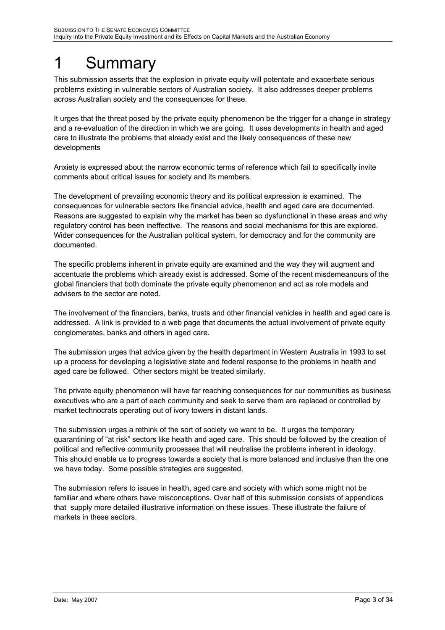# <span id="page-2-0"></span>1 Summary

This submission asserts that the explosion in private equity will potentate and exacerbate serious problems existing in vulnerable sectors of Australian society. It also addresses deeper problems across Australian society and the consequences for these.

It urges that the threat posed by the private equity phenomenon be the trigger for a change in strategy and a re-evaluation of the direction in which we are going. It uses developments in health and aged care to illustrate the problems that already exist and the likely consequences of these new developments

Anxiety is expressed about the narrow economic terms of reference which fail to specifically invite comments about critical issues for society and its members.

The development of prevailing economic theory and its political expression is examined. The consequences for vulnerable sectors like financial advice, health and aged care are documented. Reasons are suggested to explain why the market has been so dysfunctional in these areas and why regulatory control has been ineffective. The reasons and social mechanisms for this are explored. Wider consequences for the Australian political system, for democracy and for the community are documented.

The specific problems inherent in private equity are examined and the way they will augment and accentuate the problems which already exist is addressed. Some of the recent misdemeanours of the global financiers that both dominate the private equity phenomenon and act as role models and advisers to the sector are noted.

The involvement of the financiers, banks, trusts and other financial vehicles in health and aged care is addressed. A link is provided to a web page that documents the actual involvement of private equity conglomerates, banks and others in aged care.

The submission urges that advice given by the health department in Western Australia in 1993 to set up a process for developing a legislative state and federal response to the problems in health and aged care be followed. Other sectors might be treated similarly.

The private equity phenomenon will have far reaching consequences for our communities as business executives who are a part of each community and seek to serve them are replaced or controlled by market technocrats operating out of ivory towers in distant lands.

The submission urges a rethink of the sort of society we want to be. It urges the temporary quarantining of "at risk" sectors like health and aged care. This should be followed by the creation of political and reflective community processes that will neutralise the problems inherent in ideology. This should enable us to progress towards a society that is more balanced and inclusive than the one we have today. Some possible strategies are suggested.

The submission refers to issues in health, aged care and society with which some might not be familiar and where others have misconceptions. Over half of this submission consists of appendices that supply more detailed illustrative information on these issues. These illustrate the failure of markets in these sectors.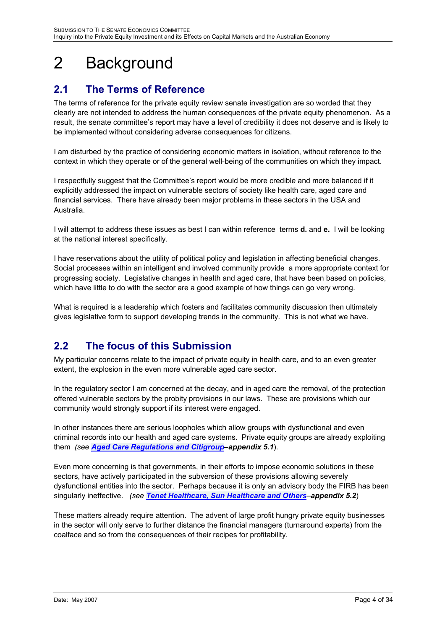# <span id="page-3-0"></span>2 Background

# **2.1 The Terms of Reference**

The terms of reference for the private equity review senate investigation are so worded that they clearly are not intended to address the human consequences of the private equity phenomenon. As a result, the senate committee's report may have a level of credibility it does not deserve and is likely to be implemented without considering adverse consequences for citizens.

I am disturbed by the practice of considering economic matters in isolation, without reference to the context in which they operate or of the general well-being of the communities on which they impact.

I respectfully suggest that the Committee's report would be more credible and more balanced if it explicitly addressed the impact on vulnerable sectors of society like health care, aged care and financial services. There have already been major problems in these sectors in the USA and Australia.

I will attempt to address these issues as best I can within reference terms **d.** and **e.** I will be looking at the national interest specifically.

I have reservations about the utility of political policy and legislation in affecting beneficial changes. Social processes within an intelligent and involved community provide a more appropriate context for progressing society. Legislative changes in health and aged care, that have been based on policies, which have little to do with the sector are a good example of how things can go very wrong.

What is required is a leadership which fosters and facilitates community discussion then ultimately gives legislative form to support developing trends in the community. This is not what we have.

## **2.2 The focus of this Submission**

My particular concerns relate to the impact of private equity in health care, and to an even greater extent, the explosion in the even more vulnerable aged care sector.

In the regulatory sector I am concerned at the decay, and in aged care the removal, of the protection offered vulnerable sectors by the probity provisions in our laws. These are provisions which our community would strongly support if its interest were engaged.

In other instances there are serious loopholes which allow groups with dysfunctional and even criminal records into our health and aged care systems. Private equity groups are already exploiting them *(see [Aged Care Regulations and Citigroup](#page-14-1)ñappendix 5.1*).

Even more concerning is that governments, in their efforts to impose economic solutions in these sectors, have actively participated in the subversion of these provisions allowing severely dysfunctional entities into the sector. Perhaps because it is only an advisory body the FIRB has been singularly ineffective. *(see [Tenet Healthcare, Sun Healthcare and Others](#page-17-1)ñappendix 5.2*)

These matters already require attention. The advent of large profit hungry private equity businesses in the sector will only serve to further distance the financial managers (turnaround experts) from the coalface and so from the consequences of their recipes for profitability.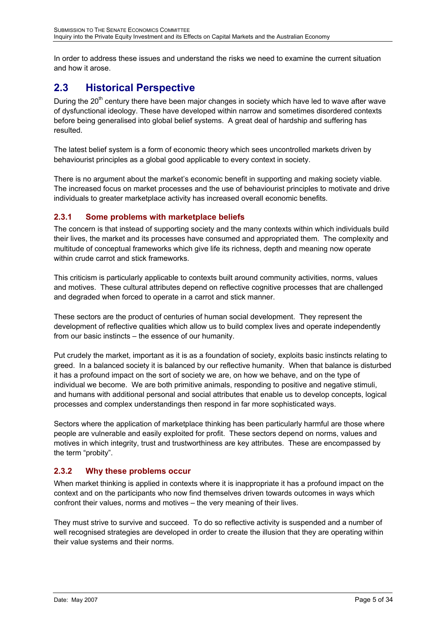<span id="page-4-0"></span>In order to address these issues and understand the risks we need to examine the current situation and how it arose.

# **2.3 Historical Perspective**

During the 20<sup>th</sup> century there have been major changes in society which have led to wave after wave of dysfunctional ideology. These have developed within narrow and sometimes disordered contexts before being generalised into global belief systems. A great deal of hardship and suffering has resulted.

The latest belief system is a form of economic theory which sees uncontrolled markets driven by behaviourist principles as a global good applicable to every context in society.

There is no argument about the market's economic benefit in supporting and making society viable. The increased focus on market processes and the use of behaviourist principles to motivate and drive individuals to greater marketplace activity has increased overall economic benefits.

## **2.3.1 Some problems with marketplace beliefs**

The concern is that instead of supporting society and the many contexts within which individuals build their lives, the market and its processes have consumed and appropriated them. The complexity and multitude of conceptual frameworks which give life its richness, depth and meaning now operate within crude carrot and stick frameworks.

This criticism is particularly applicable to contexts built around community activities, norms, values and motives. These cultural attributes depend on reflective cognitive processes that are challenged and degraded when forced to operate in a carrot and stick manner.

These sectors are the product of centuries of human social development. They represent the development of reflective qualities which allow us to build complex lives and operate independently from our basic instincts – the essence of our humanity.

Put crudely the market, important as it is as a foundation of society, exploits basic instincts relating to greed. In a balanced society it is balanced by our reflective humanity. When that balance is disturbed it has a profound impact on the sort of society we are, on how we behave, and on the type of individual we become. We are both primitive animals, responding to positive and negative stimuli, and humans with additional personal and social attributes that enable us to develop concepts, logical processes and complex understandings then respond in far more sophisticated ways.

Sectors where the application of marketplace thinking has been particularly harmful are those where people are vulnerable and easily exploited for profit. These sectors depend on norms, values and motives in which integrity, trust and trustworthiness are key attributes. These are encompassed by the term "probity".

## **2.3.2 Why these problems occur**

When market thinking is applied in contexts where it is inappropriate it has a profound impact on the context and on the participants who now find themselves driven towards outcomes in ways which confront their values, norms and motives - the very meaning of their lives.

They must strive to survive and succeed. To do so reflective activity is suspended and a number of well recognised strategies are developed in order to create the illusion that they are operating within their value systems and their norms.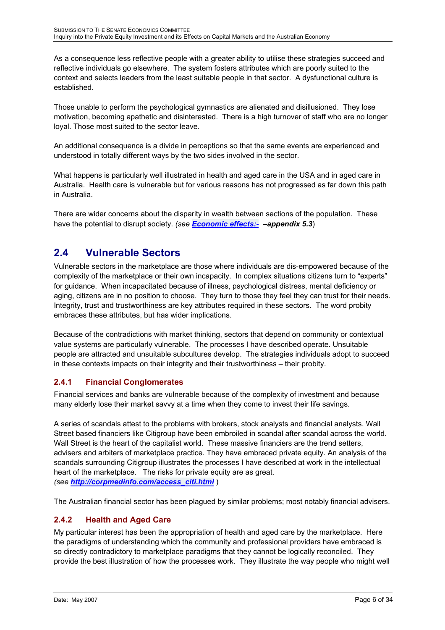<span id="page-5-0"></span>As a consequence less reflective people with a greater ability to utilise these strategies succeed and reflective individuals go elsewhere. The system fosters attributes which are poorly suited to the context and selects leaders from the least suitable people in that sector. A dysfunctional culture is established.

Those unable to perform the psychological gymnastics are alienated and disillusioned. They lose motivation, becoming apathetic and disinterested. There is a high turnover of staff who are no longer loyal. Those most suited to the sector leave.

An additional consequence is a divide in perceptions so that the same events are experienced and understood in totally different ways by the two sides involved in the sector.

What happens is particularly well illustrated in health and aged care in the USA and in aged care in Australia. Health care is vulnerable but for various reasons has not progressed as far down this path in Australia.

There are wider concerns about the disparity in wealth between sections of the population. These have the potential to disrupt society. (see *Economic effects:* - *appendix 5.3*)

# **2.4 Vulnerable Sectors**

Vulnerable sectors in the marketplace are those where individuals are dis-empowered because of the complexity of the marketplace or their own incapacity. In complex situations citizens turn to "experts" for guidance. When incapacitated because of illness, psychological distress, mental deficiency or aging, citizens are in no position to choose. They turn to those they feel they can trust for their needs. Integrity, trust and trustworthiness are key attributes required in these sectors. The word probity embraces these attributes, but has wider implications.

Because of the contradictions with market thinking, sectors that depend on community or contextual value systems are particularly vulnerable. The processes I have described operate. Unsuitable people are attracted and unsuitable subcultures develop. The strategies individuals adopt to succeed in these contexts impacts on their integrity and their trustworthiness – their probity.

## **2.4.1 Financial Conglomerates**

Financial services and banks are vulnerable because of the complexity of investment and because many elderly lose their market savvy at a time when they come to invest their life savings.

A series of scandals attest to the problems with brokers, stock analysts and financial analysts. Wall Street based financiers like Citigroup have been embroiled in scandal after scandal across the world. Wall Street is the heart of the capitalist world. These massive financiers are the trend setters, advisers and arbiters of marketplace practice. They have embraced private equity. An analysis of the scandals surrounding Citigroup illustrates the processes I have described at work in the intellectual heart of the marketplace. The risks for private equity are as great. *(see [http://corpmedinfo.com/access\\_citi.html](http://corpmedinfo.com/access_citi.html)* )

The Australian financial sector has been plagued by similar problems; most notably financial advisers.

## **2.4.2 Health and Aged Care**

My particular interest has been the appropriation of health and aged care by the marketplace. Here the paradigms of understanding which the community and professional providers have embraced is so directly contradictory to marketplace paradigms that they cannot be logically reconciled. They provide the best illustration of how the processes work. They illustrate the way people who might well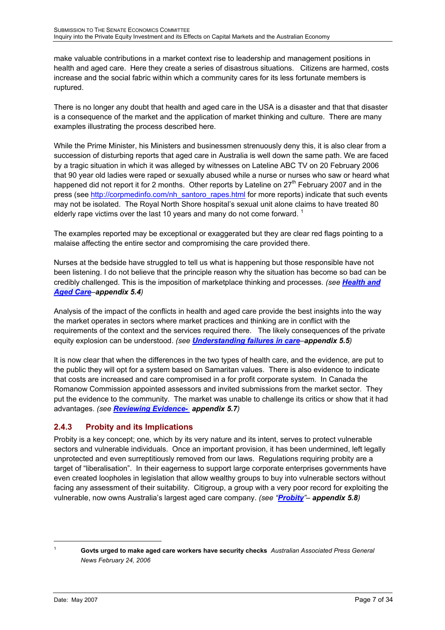<span id="page-6-0"></span>make valuable contributions in a market context rise to leadership and management positions in health and aged care. Here they create a series of disastrous situations. Citizens are harmed, costs increase and the social fabric within which a community cares for its less fortunate members is ruptured.

There is no longer any doubt that health and aged care in the USA is a disaster and that that disaster is a consequence of the market and the application of market thinking and culture. There are many examples illustrating the process described here.

While the Prime Minister, his Ministers and businessmen strenuously deny this, it is also clear from a succession of disturbing reports that aged care in Australia is well down the same path. We are faced by a tragic situation in which it was alleged by witnesses on Lateline ABC TV on 20 February 2006 that 90 year old ladies were raped or sexually abused while a nurse or nurses who saw or heard what happened did not report it for 2 months. Other reports by Lateline on  $27<sup>th</sup>$  February 2007 and in the press (see [http://corpmedinfo.com/nh\\_santoro\\_rapes.html](http://corpmedinfo.com/nh_santoro_rapes.html) for more reports) indicate that such events may not be isolated. The Royal North Shore hospital's sexual unit alone claims to have treated 80 elderly rape victims over the last [1](#page-6-1)0 years and many do not come forward.  $1$ 

The examples reported may be exceptional or exaggerated but they are clear red flags pointing to a malaise affecting the entire sector and compromising the care provided there.

Nurses at the bedside have struggled to tell us what is happening but those responsible have not been listening. I do not believe that the principle reason why the situation has become so bad can be credibly challenged. This is the imposition of marketplace thinking and processes. *(see [Health and](#page-21-2) [Aged Care](#page-21-2)ñappendix 5.4)*

Analysis of the impact of the conflicts in health and aged care provide the best insights into the way the market operates in sectors where market practices and thinking are in conflict with the requirements of the context and the services required there. The likely consequences of the private equity explosion can be understood. (see **[Understanding failures in care](#page-25-1)-appendix 5.5**)

It is now clear that when the differences in the two types of health care, and the evidence, are put to the public they will opt for a system based on Samaritan values. There is also evidence to indicate that costs are increased and care compromised in a for profit corporate system. In Canada the Romanow Commission appointed assessors and invited submissions from the market sector. They put the evidence to the community. The market was unable to challenge its critics or show that it had advantages. *(see [Reviewing Evidence-](#page-28-1) appendix 5.7)*

## **2.4.3 Probity and its Implications**

Probity is a key concept; one, which by its very nature and its intent, serves to protect vulnerable sectors and vulnerable individuals. Once an important provision, it has been undermined, left legally unprotected and even surreptitiously removed from our laws. Regulations requiring probity are a target of "liberalisation". In their eagerness to support large corporate enterprises governments have even created loopholes in legislation that allow wealthy groups to buy into vulnerable sectors without facing any assessment of their suitability. Citigroup, a group with a very poor record for exploiting the vulnerable, now owns Australiaís largest aged care company. *(see ì[Probity](#page-29-1)îñ appendix 5.8)*

 $\overline{1}$ 

<span id="page-6-1"></span>**Govts urged to make aged care workers have security checks** *Australian Associated Press General News February 24, 2006*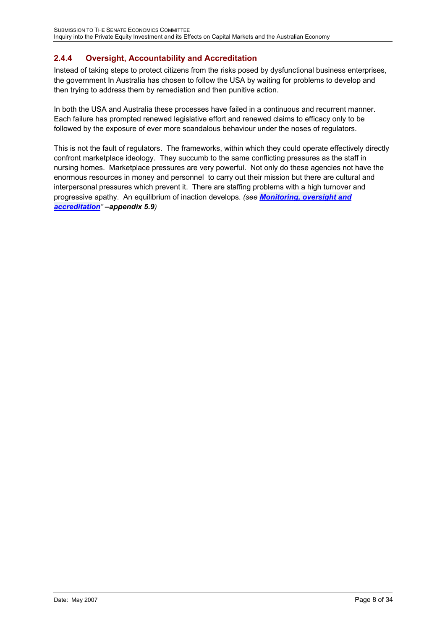## <span id="page-7-0"></span>**2.4.4 Oversight, Accountability and Accreditation**

Instead of taking steps to protect citizens from the risks posed by dysfunctional business enterprises, the government In Australia has chosen to follow the USA by waiting for problems to develop and then trying to address them by remediation and then punitive action.

In both the USA and Australia these processes have failed in a continuous and recurrent manner. Each failure has prompted renewed legislative effort and renewed claims to efficacy only to be followed by the exposure of ever more scandalous behaviour under the noses of regulators.

This is not the fault of regulators. The frameworks, within which they could operate effectively directly confront marketplace ideology. They succumb to the same conflicting pressures as the staff in nursing homes. Marketplace pressures are very powerful. Not only do these agencies not have the enormous resources in money and personnel to carry out their mission but there are cultural and interpersonal pressures which prevent it. There are staffing problems with a high turnover and progressive apathy. An equilibrium of inaction develops. *(see [Monitoring, oversight and](#page-30-1) [accreditation](#page-30-1)*<sup>*</sup></sup> <i>appendix 5.9)*</sup>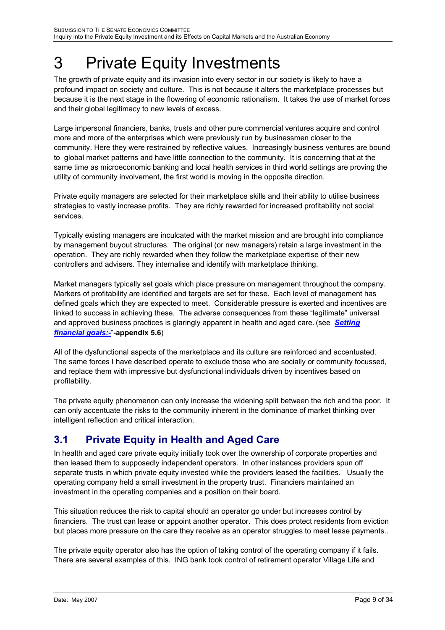# <span id="page-8-0"></span>3 Private Equity Investments

The growth of private equity and its invasion into every sector in our society is likely to have a profound impact on society and culture. This is not because it alters the marketplace processes but because it is the next stage in the flowering of economic rationalism. It takes the use of market forces and their global legitimacy to new levels of excess.

Large impersonal financiers, banks, trusts and other pure commercial ventures acquire and control more and more of the enterprises which were previously run by businessmen closer to the community. Here they were restrained by reflective values. Increasingly business ventures are bound to global market patterns and have little connection to the community. It is concerning that at the same time as microeconomic banking and local health services in third world settings are proving the utility of community involvement, the first world is moving in the opposite direction.

Private equity managers are selected for their marketplace skills and their ability to utilise business strategies to vastly increase profits. They are richly rewarded for increased profitability not social services.

Typically existing managers are inculcated with the market mission and are brought into compliance by management buyout structures. The original (or new managers) retain a large investment in the operation. They are richly rewarded when they follow the marketplace expertise of their new controllers and advisers. They internalise and identify with marketplace thinking.

Market managers typically set goals which place pressure on management throughout the company. Markers of profitability are identified and targets are set for these. Each level of management has defined goals which they are expected to meet. Considerable pressure is exerted and incentives are linked to success in achieving these. The adverse consequences from these "legitimate" universal and approved business practices is glaringly apparent in health and aged care. (see *[Setting](#page-27-1) [financial goals:-](#page-27-1)*î**-appendix 5.6**)

All of the dysfunctional aspects of the marketplace and its culture are reinforced and accentuated. The same forces I have described operate to exclude those who are socially or community focussed, and replace them with impressive but dysfunctional individuals driven by incentives based on profitability.

The private equity phenomenon can only increase the widening split between the rich and the poor. It can only accentuate the risks to the community inherent in the dominance of market thinking over intelligent reflection and critical interaction.

# **3.1 Private Equity in Health and Aged Care**

In health and aged care private equity initially took over the ownership of corporate properties and then leased them to supposedly independent operators. In other instances providers spun off separate trusts in which private equity invested while the providers leased the facilities. Usually the operating company held a small investment in the property trust. Financiers maintained an investment in the operating companies and a position on their board.

This situation reduces the risk to capital should an operator go under but increases control by financiers. The trust can lease or appoint another operator. This does protect residents from eviction but places more pressure on the care they receive as an operator struggles to meet lease payments..

The private equity operator also has the option of taking control of the operating company if it fails. There are several examples of this. ING bank took control of retirement operator Village Life and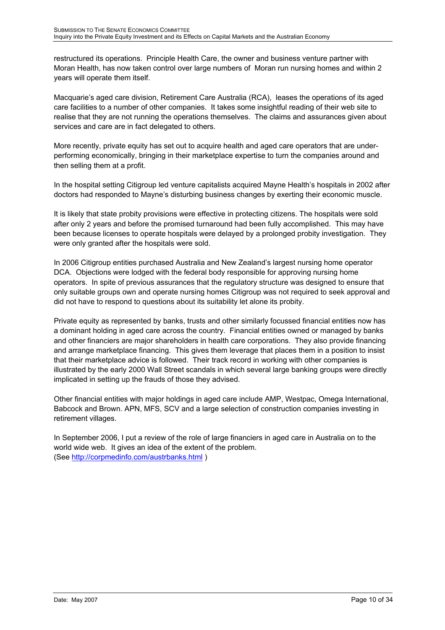restructured its operations. Principle Health Care, the owner and business venture partner with Moran Health, has now taken control over large numbers of Moran run nursing homes and within 2 years will operate them itself.

Macquarie's aged care division, Retirement Care Australia (RCA), leases the operations of its aged care facilities to a number of other companies. It takes some insightful reading of their web site to realise that they are not running the operations themselves. The claims and assurances given about services and care are in fact delegated to others.

More recently, private equity has set out to acquire health and aged care operators that are underperforming economically, bringing in their marketplace expertise to turn the companies around and then selling them at a profit.

In the hospital setting Citigroup led venture capitalists acquired Mayne Health's hospitals in 2002 after doctors had responded to Mayne's disturbing business changes by exerting their economic muscle.

It is likely that state probity provisions were effective in protecting citizens. The hospitals were sold after only 2 years and before the promised turnaround had been fully accomplished. This may have been because licenses to operate hospitals were delayed by a prolonged probity investigation. They were only granted after the hospitals were sold.

In 2006 Citigroup entities purchased Australia and New Zealand's largest nursing home operator DCA. Objections were lodged with the federal body responsible for approving nursing home operators. In spite of previous assurances that the regulatory structure was designed to ensure that only suitable groups own and operate nursing homes Citigroup was not required to seek approval and did not have to respond to questions about its suitability let alone its probity.

Private equity as represented by banks, trusts and other similarly focussed financial entities now has a dominant holding in aged care across the country. Financial entities owned or managed by banks and other financiers are major shareholders in health care corporations. They also provide financing and arrange marketplace financing. This gives them leverage that places them in a position to insist that their marketplace advice is followed. Their track record in working with other companies is illustrated by the early 2000 Wall Street scandals in which several large banking groups were directly implicated in setting up the frauds of those they advised.

Other financial entities with major holdings in aged care include AMP, Westpac, Omega International, Babcock and Brown. APN, MFS, SCV and a large selection of construction companies investing in retirement villages.

In September 2006, I put a review of the role of large financiers in aged care in Australia on to the world wide web. It gives an idea of the extent of the problem. (See <http://corpmedinfo.com/austrbanks.html>)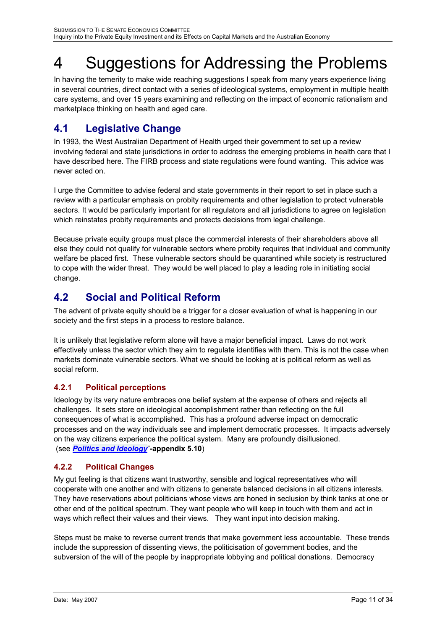# <span id="page-10-0"></span>4 Suggestions for Addressing the Problems

In having the temerity to make wide reaching suggestions I speak from many years experience living in several countries, direct contact with a series of ideological systems, employment in multiple health care systems, and over 15 years examining and reflecting on the impact of economic rationalism and marketplace thinking on health and aged care.

# **4.1 Legislative Change**

In 1993, the West Australian Department of Health urged their government to set up a review involving federal and state jurisdictions in order to address the emerging problems in health care that I have described here. The FIRB process and state regulations were found wanting. This advice was never acted on.

I urge the Committee to advise federal and state governments in their report to set in place such a review with a particular emphasis on probity requirements and other legislation to protect vulnerable sectors. It would be particularly important for all regulators and all jurisdictions to agree on legislation which reinstates probity requirements and protects decisions from legal challenge.

Because private equity groups must place the commercial interests of their shareholders above all else they could not qualify for vulnerable sectors where probity requires that individual and community welfare be placed first. These vulnerable sectors should be quarantined while society is restructured to cope with the wider threat. They would be well placed to play a leading role in initiating social change.

# **4.2 Social and Political Reform**

The advent of private equity should be a trigger for a closer evaluation of what is happening in our society and the first steps in a process to restore balance.

It is unlikely that legislative reform alone will have a major beneficial impact. Laws do not work effectively unless the sector which they aim to regulate identifies with them. This is not the case when markets dominate vulnerable sectors. What we should be looking at is political reform as well as social reform.

## **4.2.1 Political perceptions**

Ideology by its very nature embraces one belief system at the expense of others and rejects all challenges. It sets store on ideological accomplishment rather than reflecting on the full consequences of what is accomplished. This has a profound adverse impact on democratic processes and on the way individuals see and implement democratic processes. It impacts adversely on the way citizens experience the political system. Many are profoundly disillusioned. (see *[Politics and Ideology](#page-32-1)*î**-appendix 5.10**)

## **4.2.2 Political Changes**

My gut feeling is that citizens want trustworthy, sensible and logical representatives who will cooperate with one another and with citizens to generate balanced decisions in all citizens interests. They have reservations about politicians whose views are honed in seclusion by think tanks at one or other end of the political spectrum. They want people who will keep in touch with them and act in ways which reflect their values and their views. They want input into decision making.

Steps must be make to reverse current trends that make government less accountable. These trends include the suppression of dissenting views, the politicisation of government bodies, and the subversion of the will of the people by inappropriate lobbying and political donations. Democracy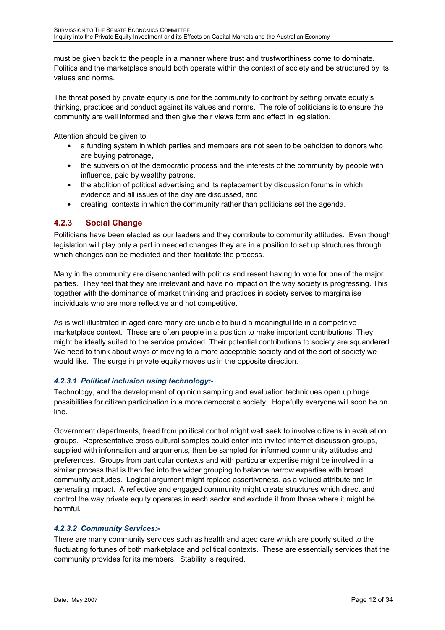<span id="page-11-0"></span>must be given back to the people in a manner where trust and trustworthiness come to dominate. Politics and the marketplace should both operate within the context of society and be structured by its values and norms.

The threat posed by private equity is one for the community to confront by setting private equity's thinking, practices and conduct against its values and norms. The role of politicians is to ensure the community are well informed and then give their views form and effect in legislation.

Attention should be given to

- a funding system in which parties and members are not seen to be beholden to donors who are buying patronage,
- the subversion of the democratic process and the interests of the community by people with influence, paid by wealthy patrons,
- the abolition of political advertising and its replacement by discussion forums in which evidence and all issues of the day are discussed, and
- creating contexts in which the community rather than politicians set the agenda.

## **4.2.3 Social Change**

Politicians have been elected as our leaders and they contribute to community attitudes. Even though legislation will play only a part in needed changes they are in a position to set up structures through which changes can be mediated and then facilitate the process.

Many in the community are disenchanted with politics and resent having to vote for one of the major parties. They feel that they are irrelevant and have no impact on the way society is progressing. This together with the dominance of market thinking and practices in society serves to marginalise individuals who are more reflective and not competitive.

As is well illustrated in aged care many are unable to build a meaningful life in a competitive marketplace context. These are often people in a position to make important contributions. They might be ideally suited to the service provided. Their potential contributions to society are squandered. We need to think about ways of moving to a more acceptable society and of the sort of society we would like. The surge in private equity moves us in the opposite direction.

### *4.2.3.1 Political inclusion using technology:-*

Technology, and the development of opinion sampling and evaluation techniques open up huge possibilities for citizen participation in a more democratic society. Hopefully everyone will soon be on line.

Government departments, freed from political control might well seek to involve citizens in evaluation groups. Representative cross cultural samples could enter into invited internet discussion groups, supplied with information and arguments, then be sampled for informed community attitudes and preferences. Groups from particular contexts and with particular expertise might be involved in a similar process that is then fed into the wider grouping to balance narrow expertise with broad community attitudes. Logical argument might replace assertiveness, as a valued attribute and in generating impact. A reflective and engaged community might create structures which direct and control the way private equity operates in each sector and exclude it from those where it might be harmful.

### *4.2.3.2 Community Services:-*

There are many community services such as health and aged care which are poorly suited to the fluctuating fortunes of both marketplace and political contexts. These are essentially services that the community provides for its members. Stability is required.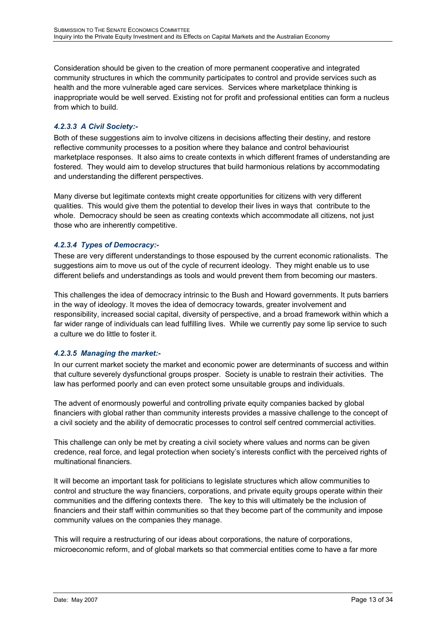Consideration should be given to the creation of more permanent cooperative and integrated community structures in which the community participates to control and provide services such as health and the more vulnerable aged care services. Services where marketplace thinking is inappropriate would be well served. Existing not for profit and professional entities can form a nucleus from which to build.

### *4.2.3.3 A Civil Society:-*

Both of these suggestions aim to involve citizens in decisions affecting their destiny, and restore reflective community processes to a position where they balance and control behaviourist marketplace responses. It also aims to create contexts in which different frames of understanding are fostered. They would aim to develop structures that build harmonious relations by accommodating and understanding the different perspectives.

Many diverse but legitimate contexts might create opportunities for citizens with very different qualities. This would give them the potential to develop their lives in ways that contribute to the whole. Democracy should be seen as creating contexts which accommodate all citizens, not just those who are inherently competitive.

### *4.2.3.4 Types of Democracy:-*

These are very different understandings to those espoused by the current economic rationalists. The suggestions aim to move us out of the cycle of recurrent ideology. They might enable us to use different beliefs and understandings as tools and would prevent them from becoming our masters.

This challenges the idea of democracy intrinsic to the Bush and Howard governments. It puts barriers in the way of ideology. It moves the idea of democracy towards, greater involvement and responsibility, increased social capital, diversity of perspective, and a broad framework within which a far wider range of individuals can lead fulfilling lives. While we currently pay some lip service to such a culture we do little to foster it.

### *4.2.3.5 Managing the market:-*

In our current market society the market and economic power are determinants of success and within that culture severely dysfunctional groups prosper. Society is unable to restrain their activities. The law has performed poorly and can even protect some unsuitable groups and individuals.

The advent of enormously powerful and controlling private equity companies backed by global financiers with global rather than community interests provides a massive challenge to the concept of a civil society and the ability of democratic processes to control self centred commercial activities.

This challenge can only be met by creating a civil society where values and norms can be given credence, real force, and legal protection when societyís interests conflict with the perceived rights of multinational financiers.

It will become an important task for politicians to legislate structures which allow communities to control and structure the way financiers, corporations, and private equity groups operate within their communities and the differing contexts there. The key to this will ultimately be the inclusion of financiers and their staff within communities so that they become part of the community and impose community values on the companies they manage.

This will require a restructuring of our ideas about corporations, the nature of corporations, microeconomic reform, and of global markets so that commercial entities come to have a far more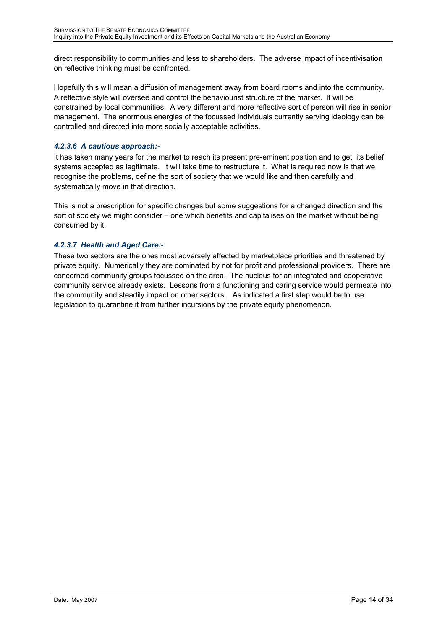direct responsibility to communities and less to shareholders. The adverse impact of incentivisation on reflective thinking must be confronted.

Hopefully this will mean a diffusion of management away from board rooms and into the community. A reflective style will oversee and control the behaviourist structure of the market. It will be constrained by local communities. A very different and more reflective sort of person will rise in senior management. The enormous energies of the focussed individuals currently serving ideology can be controlled and directed into more socially acceptable activities.

### *4.2.3.6 A cautious approach:-*

It has taken many years for the market to reach its present pre-eminent position and to get its belief systems accepted as legitimate. It will take time to restructure it. What is required now is that we recognise the problems, define the sort of society that we would like and then carefully and systematically move in that direction.

This is not a prescription for specific changes but some suggestions for a changed direction and the sort of society we might consider – one which benefits and capitalises on the market without being consumed by it.

### *4.2.3.7 Health and Aged Care:-*

These two sectors are the ones most adversely affected by marketplace priorities and threatened by private equity. Numerically they are dominated by not for profit and professional providers. There are concerned community groups focussed on the area. The nucleus for an integrated and cooperative community service already exists. Lessons from a functioning and caring service would permeate into the community and steadily impact on other sectors. As indicated a first step would be to use legislation to quarantine it from further incursions by the private equity phenomenon.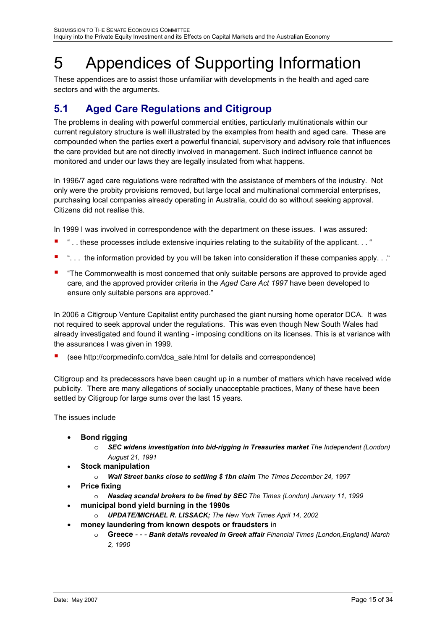# <span id="page-14-0"></span>5 Appendices of Supporting Information

These appendices are to assist those unfamiliar with developments in the health and aged care sectors and with the arguments.

# <span id="page-14-1"></span>**5.1 Aged Care Regulations and Citigroup**

The problems in dealing with powerful commercial entities, particularly multinationals within our current regulatory structure is well illustrated by the examples from health and aged care. These are compounded when the parties exert a powerful financial, supervisory and advisory role that influences the care provided but are not directly involved in management. Such indirect influence cannot be monitored and under our laws they are legally insulated from what happens.

In 1996/7 aged care regulations were redrafted with the assistance of members of the industry. Not only were the probity provisions removed, but large local and multinational commercial enterprises, purchasing local companies already operating in Australia, could do so without seeking approval. Citizens did not realise this.

In 1999 I was involved in correspondence with the department on these issues. I was assured:

- ".. these processes include extensive inquiries relating to the suitability of the applicant... "
- "... the information provided by you will be taken into consideration if these companies apply..."
- **.** "The Commonwealth is most concerned that only suitable persons are approved to provide aged care, and the approved provider criteria in the *Aged Care Act 1997* have been developed to ensure only suitable persons are approved."

In 2006 a Citigroup Venture Capitalist entity purchased the giant nursing home operator DCA. It was not required to seek approval under the regulations. This was even though New South Wales had already investigated and found it wanting - imposing conditions on its licenses. This is at variance with the assurances I was given in 1999.

! (see [http://corpmedinfo.com/dca\\_sale.html](http://corpmedinfo.com/dca_sale.html) for details and correspondence)

Citigroup and its predecessors have been caught up in a number of matters which have received wide publicity. There are many allegations of socially unacceptable practices, Many of these have been settled by Citigroup for large sums over the last 15 years.

The issues include

- **Bond rigging**
	- o *SEC widens investigation into bid-rigging in Treasuries market The Independent (London) August 21, 1991*
- **Stock manipulation**
	- o *Wall S treet banks close to settling \$ 1bn claim The Times December 24, 1997*
- **Price fixing** 
	- o *Nasdaq scandal brokers to be fined by S EC The Times (London) January 11, 1999*
- **municipal bond yield burning in the 1990s**
	- o *UPDATE/MICHAEL R. LISSACK; The New York Times Ap ril 14, 2002*
- **•** money laundering from known despots or fraudsters in
	- o **Greece** *- Bank details revealed in Greek affair Financial Times {London,England} March 2, 1990*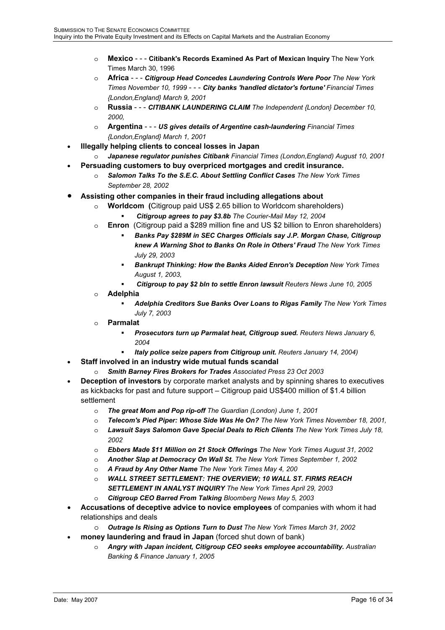- o **Mexico** - **Citibank's Records Examined As Part of Mexican Inquiry** The New York Times March 30, 1996
- o **Africa** - *Citigroup Head Concedes Laundering Controls Were Poor The New York ,England} March 9, 2001 {London Times November 10, 1999* - - - *City banks 'handled dictator's fortune' Financial Times*
- $\circ$  **Russia** - *CITIBANK LAUNDERING CLAIM The Independent {London} December 10, 2000,*
- *c* Argentina - US gives details of Argentine cash-laundering Financial Times *{London,England} March 1, 2001*
- **Illegally helping clients to conceal losses in Japan**
	- *, 2001*  o *Japanese regulator punishes Citibank Financial Times (London,England) August 10*
- **•** Persuading customers to buy overpriced mortgages and credit insurance.
	- $\circ$  **Salomon Talks To the S.E.C. About Settling Conflict Cases** The New York Times *September 28, 2002*
- **•** Assisting other companies in their fraud including allegations about
	- **Worldcom** (Citigroup paid US\$ 2.65 billion to Worldcom shareholders)
		- ! *Citigroup agrees to pay \$3.8b The Courier-Mail May 12, 2004*
	- o **Enron**  (Citigroup paid a \$289 million fine and US \$2 billion to Enron shareholders)
		- ! *89M in SEC Charges Officials say J.P. Morgan Chase, Citigroup Banks Pay \$2 knew A Warning Shot to Banks On Role in Others' Fraud The New York Times July 29, 2003*
		- *s* ! *Bankrupt Thinking: How the Banks Aided Enron's Deception New York Time ust 1, 2003, Aug*
		- ! *Citigroup to pay \$2 bln to settle Enron lawsuit Reuters News June 10, 2005*
	- o **Adelph ia**
		- **hia Creditors Sue Banks Over Loans to Rigas Family** The New York Times *July 7, 2003*
	- o **Parmal at**
		- **Prosecutors turn up Parmalat heat, Citigroup sued.** Reuters News January 6, *2004*
		- *14, 2004)* ! *Italy police seize papers from Citigroup unit. Reuters January*
- **Staff involved in an industry wide mutual funds scandal** 
	- o *Smith Barney Fires Brokers for Trades Associated Press 23 Oct 2003*
- **Deception of investors** by corporate market analysts and by spinning shares to executives as kickbacks for past and future support – Citigroup paid US\$400 million of \$1.4 billion sett lement
	- o *The great Mom and Pop rip-off The Guardian (London) June 1, 2001*
	- o *m's Pied Piper: Whose Side Was He On? The New York Times November 18, 2001, Teleco*
	- $\circ$  **Lawsuit Says Salomon Gave Special Deals to Rich Clients** The New York Times July 18, *2002*
	- $\circ$  **Ebbers Made \$11 Million on 21 Stock Offerings** The New York Times August 31, 2002
	- o *Another Slap at Democracy On Wall St. The New York Times September 1, 2002*
	- o *A Fraud by Any Other Name The New York Times May 4, 200*
	- $\circ$  *WALL STREET SETTLEMENT: THE OVERVIEW; 10 WALL ST. FIRMS REACH SETTLEMENT IN ANALYST INQUIRY The New York Times April 29, 2003*
	- *rred From Talking Bloomberg News May 5, 2003*  o *Citigroup CEO Ba*
- **Accusations of deceptive advice to novice employees** of companies with whom it had relationships and deals
	- o *Outrage Is Rising as Options Turn to Dust The New York Times March 31, 2002*
- money laundering and fraud in Japan (forced shut down of bank)
	- *countability. Australian*  o *Angry with Japan incident, Citigroup CEO seeks employee ac Banking & Finance January 1, 2005*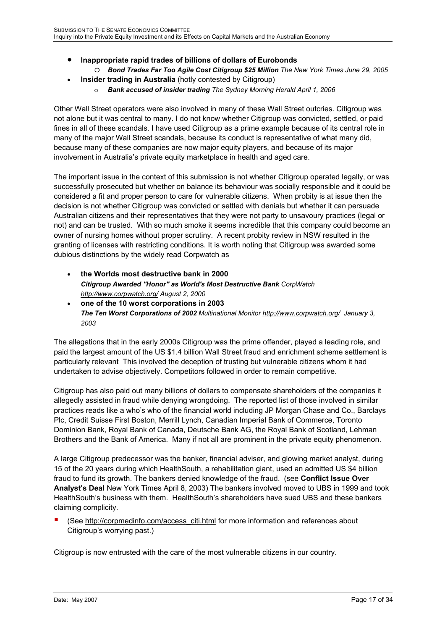- **Inappropriate rapid trades of billions of dollars of Eurobonds**
	- O Bond Trades Far Too Agile Cost Citigroup \$25 Million The New York Times June 29, 2005
- **Insider trading in Australia** (hotly contested by Citigroup) •
	- o *Bank accused of insider trading The Sydney Morning Herald April 1, 2006*

not alone but it was central to many. I do not know whether Citigroup was convicted, settled, or paid fines in all of these scandals. I have used Citigroup as a prime example because of its central role in many of the major Wall Street scandals, because its conduct is representative of what many did, because many of these companies are now major equity players, and because of its major Other Wall Street operators were also involved in many of these Wall Street outcries. Citigroup was involvement in Australia's private equity marketplace in health and aged care.

The important issue in the context of this submission is not whether Citigroup operated legally, or was successfully prosecuted but whether on balance its behaviour was socially responsible and it could be Australian citizens and their representatives that they were not party to unsavoury practices (legal or not) and can be trusted. With so much smoke it seems incredible that this company could become an owner of nursing homes without proper scrutiny. A recent probity review in NSW resulted in the granting of licenses with restricting conditions. It is worth noting that Citigroup was awarded some dubious distinctions by the widely read Corpwatch as considered a fit and proper person to care for vulnerable citizens. When probity is at issue then the decision is not whether Citigroup was convicted or settled with denials but whether it can persuade

- **Citigroup Awarded "Honor" as World's Most Destructive Bank** CorpWatch **the Worlds most destructive bank in 2000**  *<http://www.corpwatch.org/> August 2, 2000*
- **one of the 10 worst corporations in 2003** *The Ten Worst Corporations of 2002 Multinational Monitor http://www.corpwatch.org/ January 3, 2003*

The allegations that in the early 2000s Citigroup was the prime offender, played a leading role, and paid the largest amount of the US \$1.4 billion Wall Street fraud and enrichment scheme settlement is particularly relevant This involved the deception of trusting but vulnerable citizens whom it had undertaken to advise objectively. Competitors followed in order to remain competitive.

allegedly assisted in fraud while denying wrongdoing. The reported list of those involved in similar Dominion Bank, Royal Bank of Canada, Deutsche Bank AG, the Royal Bank of Scotland, Lehman Citigroup has also paid out many billions of dollars to compensate shareholders of the companies it practices reads like a who's who of the financial world including JP Morgan Chase and Co., Barclays Plc, Credit Suisse First Boston, Merrill Lynch, Canadian Imperial Bank of Commerce, Toronto Brothers and the Bank of America. Many if not all are prominent in the private equity phenomenon.

A large Citigroup predecessor was the banker, financial adviser, and glowing market analyst, during **Analyst's Deal** New York Times April 8, 2003) The bankers involved moved to UBS in 1999 and took HealthSouth's business with them. HealthSouth's shareholders have sued UBS and these bankers clai ming complicity. 15 of the 20 years during which HealthSouth, a rehabilitation giant, used an admitted US \$4 billion fraud to fund its growth. The bankers denied knowledge of the fraud. (see **Conflict Issue Over** 

■ (See http://corpmedinfo.com/access\_citi.html for more information and references about Citigroup's worrying past.)

Citigroup is now entrusted with the care of the most vulnerable citizens in our country.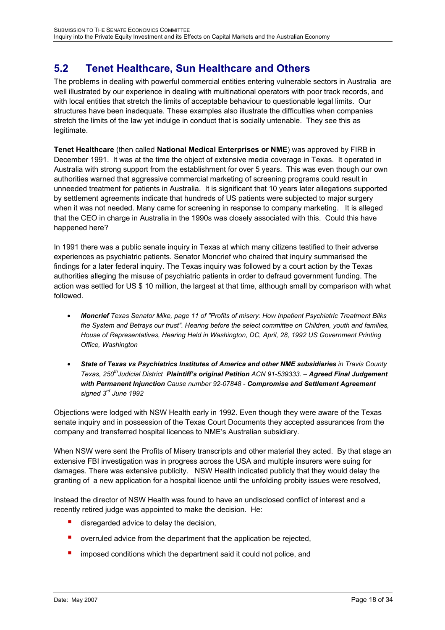# <span id="page-17-1"></span><span id="page-17-0"></span>**5.2 Tenet Healthcare, Sun Healthcare and Others**

The problems in dealing with powerful commercial entities entering vulnerable sectors in Australia are well illustrated by our experience in dealing with multinational operators with poor track records, and with local entities that stretch the limits of acceptable behaviour to questionable legal limits. Our structures have been inadequate. These examples also illustrate the difficulties when companies stretch the limits of the law yet indulge in conduct that is socially untenable. They see this as legitimate.

**Tenet Healthcare** (then called **National Medical Enterprises or NME**) was approved by FIRB in December 1991. It was at the time the object of extensive media coverage in Texas. It operated in Australia with strong support from the establishment for over 5 years. This was even though our own authorities warned that aggressive commercial marketing of screening programs could result in unneeded treatment for patients in Australia. It is significant that 10 years later allegations supported by settlement agreements indicate that hundreds of US patients were subjected to major surgery when it was not needed. Many came for screening in response to company marketing. It is alleged that the CEO in charge in Australia in the 1990s was closely associated with this. Could this have happened here?

In 1991 there was a public senate inquiry in Texas at which many citizens testified to their adverse experiences as psychiatric patients. Senator Moncrief who chaired that inquiry summarised the findings for a later federal inquiry. The Texas inquiry was followed by a court action by the Texas authorities alleging the misuse of psychiatric patients in order to defraud government funding. The action was settled for US \$ 10 million, the largest at that time, although small by comparison with what followed.

- *Moncrief Texas Senator Mike, page 11 of "Profits of misery: How Inpatient Psychiatric Treatment Bilks the System and Betrays our trust". Hearing before the select committee on Children, youth and families, House of Representatives, Hearing Held in Washington, DC, April, 28, 1992 US Government Printing Office, Washington*
- *State of Texas vs Psychiatrics Institutes of America and other NME subsidiaries in Travis County Texas, 250thJudicial District Plaintiffís original Petition ACN 91-539333. ñ Agreed Final Judgement with Permanent Injunction Cause number 92-07848 - Compromise and Settlement Agreement signed 3rd June 1992*

Objections were lodged with NSW Health early in 1992. Even though they were aware of the Texas senate inquiry and in possession of the Texas Court Documents they accepted assurances from the company and transferred hospital licences to NME's Australian subsidiary.

When NSW were sent the Profits of Misery transcripts and other material they acted. By that stage an extensive FBI investigation was in progress across the USA and multiple insurers were suing for damages. There was extensive publicity. NSW Health indicated publicly that they would delay the granting of a new application for a hospital licence until the unfolding probity issues were resolved,

Instead the director of NSW Health was found to have an undisclosed conflict of interest and a recently retired judge was appointed to make the decision. He:

- $\blacksquare$  disregarded advice to delay the decision,
- overruled advice from the department that the application be rejected,
- imposed conditions which the department said it could not police, and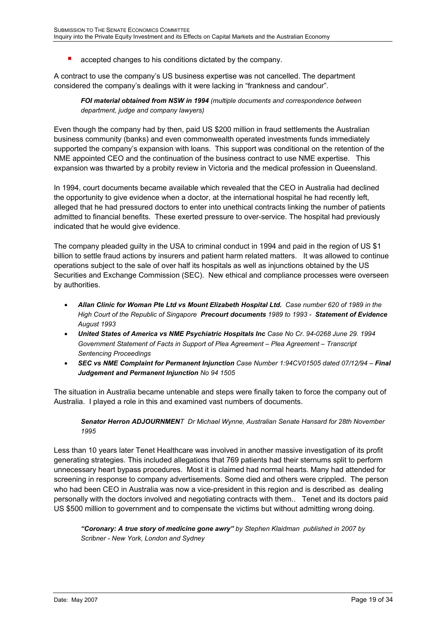accepted changes to his conditions dictated by the company.

A contract to use the companyís US business expertise was not cancelled. The department considered the company's dealings with it were lacking in "frankness and candour".

*FOI material obtained from NSW in 1994 (multiple documents and correspondence between department, judge and company lawyers)* 

Even though the company had by then, paid US \$200 million in fraud settlements the Australian business community (banks) and even commonwealth operated investments funds immediately supported the companyís expansion with loans. This support was conditional on the retention of the NME appointed CEO and the continuation of the business contract to use NME expertise. This expansion was thwarted by a probity review in Victoria and the medical profession in Queensland.

In 1994, court documents became available which revealed that the CEO in Australia had declined the opportunity to give evidence when a doctor, at the international hospital he had recently left, alleged that he had pressured doctors to enter into unethical contracts linking the number of patients admitted to financial benefits. These exerted pressure to over-service. The hospital had previously indicated that he would give evidence.

The company pleaded guilty in the USA to criminal conduct in 1994 and paid in the region of US \$1 billion to settle fraud actions by insurers and patient harm related matters. It was allowed to continue operations subject to the sale of over half its hospitals as well as injunctions obtained by the US Securities and Exchange Commission (SEC). New ethical and compliance processes were overseen by authorities.

- *Allan Clinic for Woman Pte Ltd vs Mount Elizabeth Hospital Ltd. Case number 620 of 1989 in the High Court of the Republic of Singapore Precourt documents 1989 to 1993 - Statement of Evidence August 1993*
- *United States of America vs NME Psychiatric Hospitals Inc Case No Cr. 94-0268 June 29. 1994 Government Statement of Facts in Support of Plea Agreement – Plea Agreement – Transcript Sentencing Proceedings*
- **SEC vs NME Complaint for Permanent Injunction** Case Number 1:94CV01505 dated 07/12/94 Final *Judgement and Permanent Injunction No 94 1505*

The situation in Australia became untenable and steps were finally taken to force the company out of Australia. I played a role in this and examined vast numbers of documents.

#### *Senator Herron ADJOURNMENT Dr Michael Wynne, Australian Senate Hansard for 28th November 1995*

Less than 10 years later Tenet Healthcare was involved in another massive investigation of its profit generating strategies. This included allegations that 769 patients had their sternums split to perform unnecessary heart bypass procedures. Most it is claimed had normal hearts. Many had attended for screening in response to company advertisements. Some died and others were crippled. The person who had been CEO in Australia was now a vice-president in this region and is described as dealing personally with the doctors involved and negotiating contracts with them.. Tenet and its doctors paid US \$500 million to government and to compensate the victims but without admitting wrong doing.

*ìCoronary: A true story of medicine gone awryî by Stephen Klaidman published in 2007 by Scribner - New York, London and Sydney*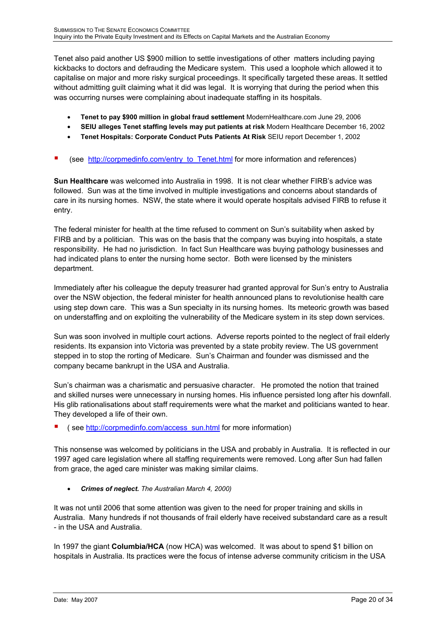Tenet also paid another US \$900 million to settle investigations of other matters including paying kickbacks to doctors and defrauding the Medicare system. This used a loophole which allowed it to capitalise on major and more risky surgical proceedings. It specifically targeted these areas. It settled without admitting guilt claiming what it did was legal. It is worrying that during the period when this was occurring nurses were complaining about inadequate staffing in its hospitals.

- **Tenet to pay \$900 million in global fraud settlement** ModernHealthcare.com June 29, 2006
- **SEIU alleges Tenet staffing levels may put patients at risk** Modern Healthcare December 16, 2002
- **Tenet Hospitals: Corporate Conduct Puts Patients At Risk** SEIU report December 1, 2002
- (see [http://corpmedinfo.com/entry\\_to\\_Tenet.html](http://corpmedinfo.com/entry_to_Tenet.html) for more information and references)

**Sun Healthcare** was welcomed into Australia in 1998. It is not clear whether FIRB's advice was followed. Sun was at the time involved in multiple investigations and concerns about standards of care in its nursing homes. NSW, the state where it would operate hospitals advised FIRB to refuse it entry.

The federal minister for health at the time refused to comment on Sun's suitability when asked by FIRB and by a politician. This was on the basis that the company was buying into hospitals, a state responsibility. He had no jurisdiction. In fact Sun Healthcare was buying pathology businesses and had indicated plans to enter the nursing home sector. Both were licensed by the ministers department.

Immediately after his colleague the deputy treasurer had granted approval for Sun's entry to Australia over the NSW objection, the federal minister for health announced plans to revolutionise health care using step down care. This was a Sun specialty in its nursing homes. Its meteoric growth was based on understaffing and on exploiting the vulnerability of the Medicare system in its step down services.

Sun was soon involved in multiple court actions. Adverse reports pointed to the neglect of frail elderly residents. Its expansion into Victoria was prevented by a state probity review. The US government stepped in to stop the rorting of Medicare. Sun's Chairman and founder was dismissed and the company became bankrupt in the USA and Australia.

Sunís chairman was a charismatic and persuasive character. He promoted the notion that trained and skilled nurses were unnecessary in nursing homes. His influence persisted long after his downfall. His glib rationalisations about staff requirements were what the market and politicians wanted to hear. They developed a life of their own.

! ( see [http://corpmedinfo.com/access\\_sun.html](http://corpmedinfo.com/access_sun.html) for more information)

This nonsense was welcomed by politicians in the USA and probably in Australia. It is reflected in our 1997 aged care legislation where all staffing requirements were removed. Long after Sun had fallen from grace, the aged care minister was making similar claims.

• *Crimes of neglect. The Australian March 4, 2000)* 

It was not until 2006 that some attention was given to the need for proper training and skills in Australia. Many hundreds if not thousands of frail elderly have received substandard care as a result - in the USA and Australia.

In 1997 the giant **Columbia/HCA** (now HCA) was welcomed. It was about to spend \$1 billion on hospitals in Australia. Its practices were the focus of intense adverse community criticism in the USA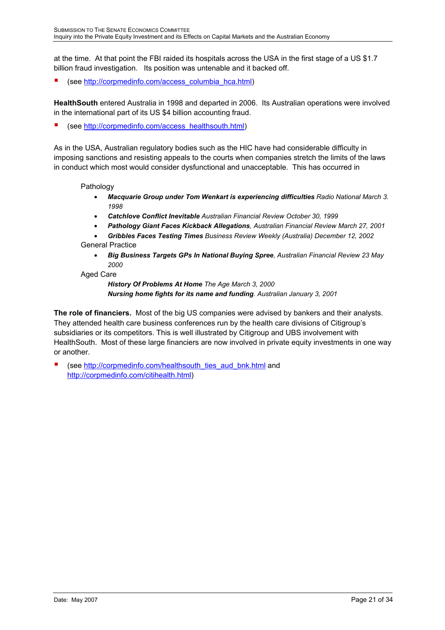at the time. At that point the FBI raided its hospitals across the USA in the first stage of a US \$1.7 billion fraud investigation. Its position was untenable and it backed off.

(see [http://corpmedinfo.com/access\\_columbia\\_hca.html\)](http://corpmedinfo.com/access_columbia_hca.html)

**HealthSouth** entered Australia in 1998 and departed in 2006. Its Australian operations were involved in the international part of its US \$4 billion accounting fraud.

(see [http://corpmedinfo.com/access\\_healthsouth.html\)](http://corpmedinfo.com/access_healthsouth.html)

As in the USA, Australian regulatory bodies such as the HIC have had considerable difficulty in imposing sanctions and resisting appeals to the courts when companies stretch the limits of the laws in conduct which most would consider dysfunctional and unacceptable. This has occurred in

### Pathology

- *Macquarie Group under Tom Wenkart is experiencing difficulties Radio National March 3. 1998*
- *Catchlove Conflict Inevitable Australian Financial Review October 30, 1999*
- *Pathology Giant Faces Kickback Allegations, Australian Financial Review March 27, 2001*

• *Gribbles Faces Testing Times Business Review Weekly (Australia) December 12, 2002*  General Practice

- *Big Business Targets GPs In National Buying Spree, Australian Financial Review 23 May 2000*
- Aged Care

*History Of Problems At Home The Age March 3, 2000 Nursing home fights for its name and funding. Australian January 3, 2001* 

**The role of financiers.** Most of the big US companies were advised by bankers and their analysts. They attended health care business conferences run by the health care divisions of Citigroup's subsidiaries or its competitors. This is well illustrated by Citigroup and UBS involvement with HealthSouth. Most of these large financiers are now involved in private equity investments in one way or another.

(see [http://corpmedinfo.com/healthsouth\\_ties\\_aud\\_bnk.html](http://corpmedinfo.com/healthsouth_ties_aud_bnk.html) and [http://corpmedinfo.com/citihealth.html\)](http://corpmedinfo.com/citihealth.html)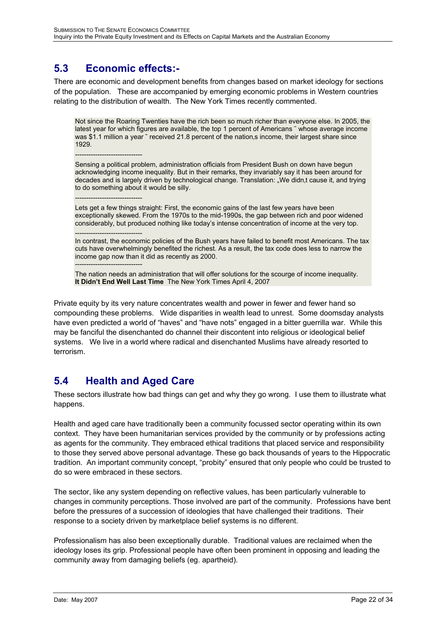## <span id="page-21-1"></span><span id="page-21-0"></span>**5.3 Economic effects:-**

------------------------------

------------------------------

There are economic and development benefits from changes based on market ideology for sections of the population. These are accompanied by emerging economic problems in Western countries relating to the distribution of wealth. The New York Times recently commented.

Not since the Roaring Twenties have the rich been so much richer than everyone else. In 2005, the latest year for which figures are available, the top 1 percent of Americans  $\tilde{ }$  whose average income was \$1.1 million a year  $\tilde{ }$  received 21.8 percent of the nation sincome, their largest share since 1929.

Sensing a political problem, administration officials from President Bush on down have begun acknowledging income inequality. But in their remarks, they invariably say it has been around for decades and is largely driven by technological change. Translation: "We didn,t cause it, and trying to do something about it would be silly.

Lets get a few things straight: First, the economic gains of the last few years have been exceptionally skewed. From the 1970s to the mid-1990s, the gap between rich and poor widened considerably, but produced nothing like todayís intense concentration of income at the very top.

------------------------------ In contrast, the economic policies of the Bush years have failed to benefit most Americans. The tax cuts have overwhelmingly benefited the richest. As a result, the tax code does less to narrow the income gap now than it did as recently as 2000. ------------------------------

The nation needs an administration that will offer solutions for the scourge of income inequality. **It Didnít End Well Last Time** The New York Times April 4, 2007

Private equity by its very nature concentrates wealth and power in fewer and fewer hand so compounding these problems. Wide disparities in wealth lead to unrest. Some doomsday analysts have even predicted a world of "haves" and "have nots" engaged in a bitter guerrilla war. While this may be fanciful the disenchanted do channel their discontent into religious or ideological belief systems. We live in a world where radical and disenchanted Muslims have already resorted to terrorism.

# <span id="page-21-2"></span>**5.4 Health and Aged Care**

These sectors illustrate how bad things can get and why they go wrong. I use them to illustrate what happens.

Health and aged care have traditionally been a community focussed sector operating within its own context. They have been humanitarian services provided by the community or by professions acting as agents for the community. They embraced ethical traditions that placed service and responsibility to those they served above personal advantage. These go back thousands of years to the Hippocratic tradition. An important community concept, "probity" ensured that only people who could be trusted to do so were embraced in these sectors.

The sector, like any system depending on reflective values, has been particularly vulnerable to changes in community perceptions. Those involved are part of the community. Professions have bent before the pressures of a succession of ideologies that have challenged their traditions. Their response to a society driven by marketplace belief systems is no different.

Professionalism has also been exceptionally durable. Traditional values are reclaimed when the ideology loses its grip. Professional people have often been prominent in opposing and leading the community away from damaging beliefs (eg. apartheid).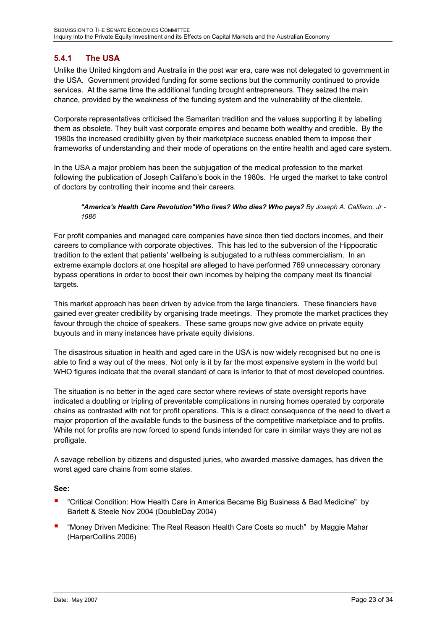## <span id="page-22-0"></span>**5.4.1 The USA**

Unlike the United kingdom and Australia in the post war era, care was not delegated to government in the USA. Government provided funding for some sections but the community continued to provide services. At the same time the additional funding brought entrepreneurs. They seized the main chance, provided by the weakness of the funding system and the vulnerability of the clientele.

Corporate representatives criticised the Samaritan tradition and the values supporting it by labelling them as obsolete. They built vast corporate empires and became both wealthy and credible. By the 1980s the increased credibility given by their marketplace success enabled them to impose their frameworks of understanding and their mode of operations on the entire health and aged care system.

In the USA a major problem has been the subjugation of the medical profession to the market following the publication of Joseph Califano's book in the 1980s. He urged the market to take control of doctors by controlling their income and their careers.

#### *"America's Health Care Revolution"Who lives? Who dies? Who pays? By Joseph A. Califano, Jr - 1986*

For profit companies and managed care companies have since then tied doctors incomes, and their careers to compliance with corporate objectives. This has led to the subversion of the Hippocratic tradition to the extent that patients' wellbeing is subjugated to a ruthless commercialism. In an extreme example doctors at one hospital are alleged to have performed 769 unnecessary coronary bypass operations in order to boost their own incomes by helping the company meet its financial targets.

This market approach has been driven by advice from the large financiers. These financiers have gained ever greater credibility by organising trade meetings. They promote the market practices they favour through the choice of speakers. These same groups now give advice on private equity buyouts and in many instances have private equity divisions.

The disastrous situation in health and aged care in the USA is now widely recognised but no one is able to find a way out of the mess. Not only is it by far the most expensive system in the world but WHO figures indicate that the overall standard of care is inferior to that of most developed countries.

The situation is no better in the aged care sector where reviews of state oversight reports have indicated a doubling or tripling of preventable complications in nursing homes operated by corporate chains as contrasted with not for profit operations. This is a direct consequence of the need to divert a major proportion of the available funds to the business of the competitive marketplace and to profits. While not for profits are now forced to spend funds intended for care in similar ways they are not as profligate.

A savage rebellion by citizens and disgusted juries, who awarded massive damages, has driven the worst aged care chains from some states.

### **See:**

- ! "Critical Condition: How Health Care in America Became Big Business & Bad Medicine" by Barlett & Steele Nov 2004 (DoubleDay 2004)
- "Money Driven Medicine: The Real Reason Health Care Costs so much" by Maggie Mahar (HarperCollins 2006)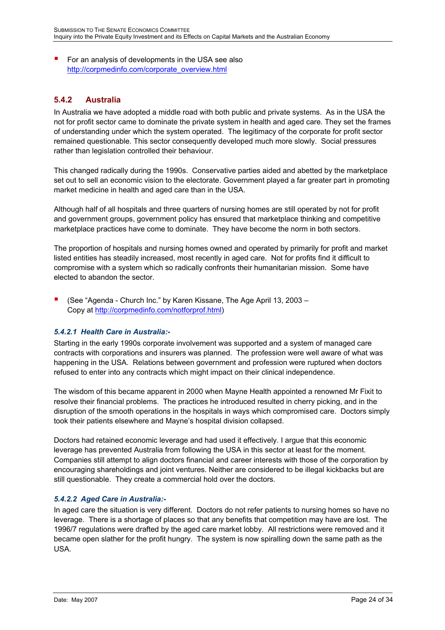<span id="page-23-0"></span>**E** For an analysis of developments in the USA see also http://corpmedinfo.com/corporate\_overview.html

## **5.4.2 Australia**

not for profit sector came to dominate the private system in health and aged care. They set the frames of understanding under which the system operated. The legitimacy of the corporate for profit sector In Australia we have adopted a middle road with both public and private systems. As in the USA the remained questionable. This sector consequently developed much more slowly. Social pressures rather than legislation controlled their behaviour.

This changed radically during the 1990s. Conservative parties aided and abetted by the marketplace set out to sell an economic vision to the electorate. Government played a far greater part in promoting market medicine in health and aged care than in the USA.

Although half of all hospitals and three quarters of nursing homes are still operated by not for profit and government groups, government policy has ensured that marketplace thinking and competitive marketplace practices have come to dominate. They have become the norm in both sectors.

The proportion of hospitals and nursing homes owned and operated by primarily for profit and market listed entities has steadily increased, most recently in aged care. Not for profits find it difficult to compromise with a system which so radically confronts their humanitarian mission. Some have elected to abandon the sector.

(See "Agenda - Church Inc." by Karen Kissane, The Age April 13, 2003 – Copy at http://corpmedinfo.com/notforprof.html)

### *5.4.2.1 Health Care in Australia:-*

contracts with corporations and insurers was planned. The profession were well aware of what was Starting in the early 1990s corporate involvement was supported and a system of managed care happening in the USA. Relations between government and profession were ruptured when doctors refused to enter into any contracts which might impact on their clinical independence.

resolve their financial problems. The practices he introduced resulted in cherry picking, and in the disruption of the smooth operations in the hospitals in ways which compromised care. Doctors simply The wisdom of this became apparent in 2000 when Mayne Health appointed a renowned Mr Fixit to took their patients elsewhere and Mayne's hospital division collapsed.

Companies still attempt to align doctors financial and career interests with those of the corporation by encouraging shareholdings and joint ventures. Neither are considered to be illegal kickbacks but are Doctors had retained economic leverage and had used it effectively. I argue that this economic leverage has prevented Australia from following the USA in this sector at least for the moment. still questionable. They create a commercial hold over the doctors.

### *5.4.2.2 Aged Care in Australia:-*

1996/7 regulations were drafted by the aged care market lobby. All restrictions were removed and it became open slather for the profit hungry. The system is now spiralling down the same path as the USA. In aged care the situation is very different. Doctors do not refer patients to nursing homes so have no leverage. There is a shortage of places so that any benefits that competition may have are lost. The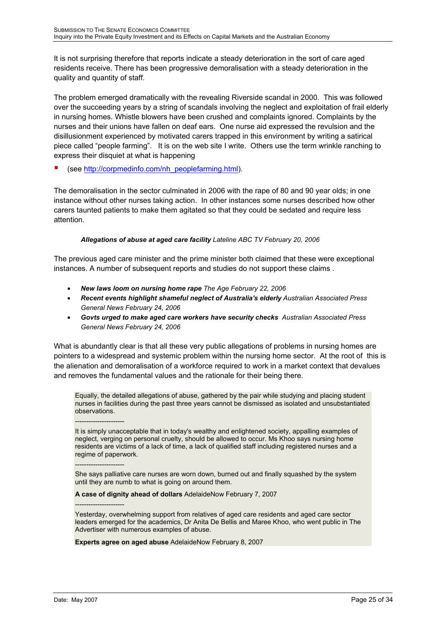It is not surprising therefore that reports indicate a steady deterioration in the sort of care aged residents receive. There has been progressive demoralisation with a steady deterioration in the quality and quantity of staff.

The problem emerged dramatically with the revealing Riverside scandal in 2000. This was followed over the succeeding years by a string of scandals involving the neglect and exploitation of frail elderly in nursing homes. Whistle blowers have been crushed and complaints ignored. Complaints by the nurses and their unions have fallen on deaf ears. One nurse aid expressed the revulsion and the disillusionment experienced by motivated carers trapped in this environment by writing a satirical piece called "people farming". It is on the web site I write. Others use the term wrinkle ranching to express their disquiet at what is happening

(see [http://corpmedinfo.com/nh\\_peoplefarming.html](http://corpmedinfo.com/nh_peoplefarming.html)).

The demoralisation in the sector culminated in 2006 with the rape of 80 and 90 year olds; in one instance without other nurses taking action. In other instances some nurses described how other carers taunted patients to make them agitated so that they could be sedated and require less attention.

### *Allegations of abuse at aged care facility Lateline ABC TV February 20, 2006*

The previous aged care minister and the prime minister both claimed that these were exceptional instances. A number of subsequent reports and studies do not support these claims.

- *New laws loom on nursing home rape The Age February 22, 2006*
- *Recent events highlight shameful neglect of Australia's elderly Australian Associated Press General News February 24, 2006*
- *Govts urged to make aged care workers have security checks Australian Associated Press General News February 24, 2006*

What is abundantly clear is that all these very public allegations of problems in nursing homes are pointers to a widespread and systemic problem within the nursing home sector. At the root of this is the alienation and demoralisation of a workforce required to work in a market context that devalues and removes the fundamental values and the rationale for their being there.

Equally, the detailed allegations of abuse, gathered by the pair while studying and placing student nurses in facilities during the past three years cannot be dismissed as isolated and unsubstantiated observations.

It is simply unacceptable that in today's wealthy and enlightened society, appalling examples of neglect, verging on personal cruelty, should be allowed to occur. Ms Khoo says nursing home residents are victims of a lack of time, a lack of qualified staff including registered nurses and a regime of paperwork.

She says palliative care nurses are worn down, burned out and finally squashed by the system until they are numb to what is going on around them.

**A case of dignity ahead of dollars** AdelaideNow February 7, 2007

Yesterday, overwhelming support from relatives of aged care residents and aged care sector leaders emerged for the academics, Dr Anita De Bellis and Maree Khoo, who went public in The Advertiser with numerous examples of abuse.

**Experts agree on aged abuse** AdelaideNow February 8, 2007

----------------------

----------------------

----------------------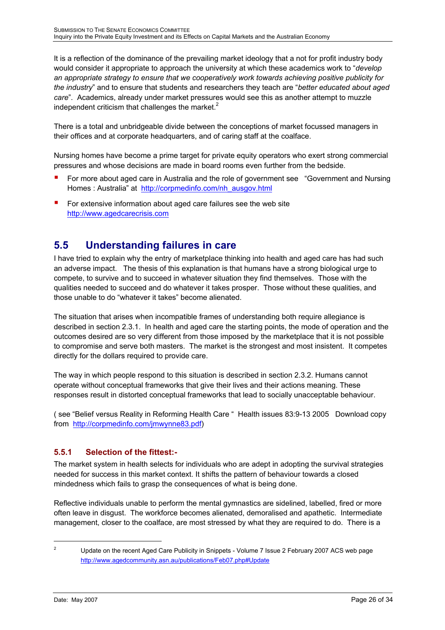<span id="page-25-0"></span>It is a reflection of the dominance of the prevailing market ideology that a not for profit industry body would consider it appropriate to approach the university at which these academics work to *<sup><i>develop*</sup> *an appropriate strategy to ensure that we cooperatively work towards achieving positive publicity for the industry*<sup>n</sup> and to ensure that students and researchers they teach are "better educated about aged *care*î. Academics, already under market pressures would see this as another attempt to muzzle independent criticism that challenges the market. $2$ 

There is a total and unbridgeable divide between the conceptions of market focussed managers in their offices and at corporate headquarters, and of caring staff at the coalface.

Nursing homes have become a prime target for private equity operators who exert strong commercial pressures and whose decisions are made in board rooms even further from the bedside.

- For more about aged care in Australia and the role of government see "Government and Nursing Homes : Australia" at http://corpmedinfo.com/nh\_ausgov.html
- **E** For extensive information about aged care failures see the web site [http://www.agedcarecrisis.com](http://www.agedcarecrisis.com/)

# <span id="page-25-1"></span>**5.5 Understanding failures in care**

I have tried to explain why the entry of marketplace thinking into health and aged care has had such an adverse impact. The thesis of this explanation is that humans have a strong biological urge to compete, to survive and to succeed in whatever situation they find themselves. Those with the qualities needed to succeed and do whatever it takes prosper. Those without these qualities, and those unable to do "whatever it takes" become alienated.

The situation that arises when incompatible frames of understanding both require allegiance is described in section 2.3.1. In health and aged care the starting points, the mode of operation and the outcomes desired are so very different from those imposed by the marketplace that it is not possible to compromise and serve both masters. The market is the strongest and most insistent. It competes directly for the dollars required to provide care.

The way in which people respond to this situation is described in section 2.3.2. Humans cannot operate without conceptual frameworks that give their lives and their actions meaning. These responses result in distorted conceptual frameworks that lead to socially unacceptable behaviour.

( see "Belief versus Reality in Reforming Health Care " Health issues 83:9-13 2005 Download copy from <http://corpmedinfo.com/jmwynne83.pdf>)

## **5.5.1 Selection of the fittest:-**

The market system in health selects for individuals who are adept in adopting the survival strategies needed for success in this market context. It shifts the pattern of behaviour towards a closed mindedness which fails to grasp the consequences of what is being done.

Reflective individuals unable to perform the mental gymnastics are sidelined, labelled, fired or more often leave in disgust. The workforce becomes alienated, demoralised and apathetic. Intermediate management, closer to the coalface, are most stressed by what they are required to do. There is a

<span id="page-25-2"></span> $\overline{a}$ <sup>2</sup> Update on the recent Aged Care Publicity in Snippets - Volume 7 Issue 2 February 2007 ACS web page http://www.agedcommunity.asn.au/publications/Feb07.php#Update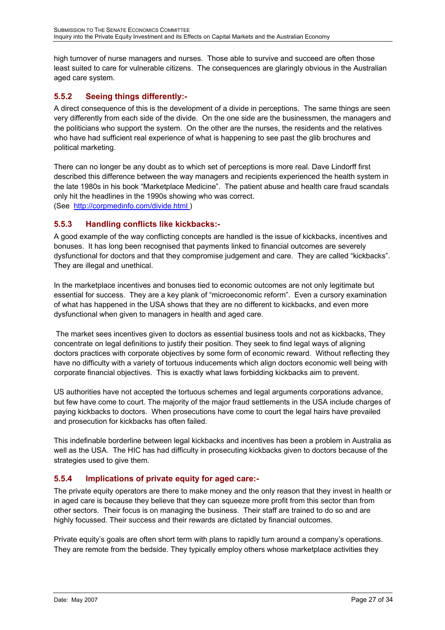<span id="page-26-0"></span>high turnover of nurse managers and nurses. Those able to survive and succeed are often those least suited to care for vulnerable citizens. The consequences are glaringly obvious in the Australian aged care system.

## **5.5.2 Seeing things differently:-**

very differently from each side of the divide. On the one side are the businessmen, the managers and the politicians who support the system. On the other are the nurses, the residents and the relatives who have had sufficient real experience of what is happening to see past the glib brochures and political marketing. A direct consequence of this is the development of a divide in perceptions. The same things are seen

the late 1980s in his book "Marketplace Medicine". The patient abuse and health care fraud scandals only hit the headlines in the 1990s showing who was correct. (See http://corpmedinfo.com/divide.html) There can no longer be any doubt as to which set of perceptions is more real. Dave Lindorff first described this difference between the way managers and recipients experienced the health system in

### **5.5.3 Handling conflicts like kickbacks:-**

A good example of the way conflicting concepts are handled is the issue of kickbacks, incentives and dysfunctional for doctors and that they compromise judgement and care. They are called "kickbacks". They are illegal and unethical. bonuses. It has long been recognised that payments linked to financial outcomes are severely

essential for success. They are a key plank of "microeconomic reform". Even a cursory examination of what has happened in the USA shows that they are no different to kickbacks, and even more dysfunctional when given to managers in health and aged care. In the marketplace incentives and bonuses tied to economic outcomes are not only legitimate but

The market sees incentives given to doctors as essential business tools and not as kickbacks, They have no difficulty with a variety of tortuous inducements which align doctors economic well being with corporate financial objectives. This is exactly what laws forbidding kickbacks aim to prevent. concentrate on legal definitions to justify their position. They seek to find legal ways of aligning doctors practices with corporate objectives by some form of economic reward. Without reflecting they

but few have come to court. The majority of the major fraud settlements in the USA include charges of paying kickbacks to doctors. When prosecutions have come to court the legal hairs have prevailed and prosecution for kickbacks has often failed. US authorities have not accepted the tortuous schemes and legal arguments corporations advance,

well as the USA. The HIC has had difficulty in prosecuting kickbacks given to doctors because of the strategies used to give them. This indefinable borderline between legal kickbacks and incentives has been a problem in Australia as

## **5.5.4 Implications of private equity for aged care:-**

The private equity operators are there to make money and the only reason that they invest in health or other sectors. Their focus is on managing the business. Their staff are trained to do so and are highly focussed. Their success and their rewards are dictated by financial outcomes. in aged care is because they believe that they can squeeze more profit from this sector than from

They are remote from the bedside. They typically employ others whose marketplace activities they Private equityís goals are often short term with plans to rapidly turn around a companyís operations.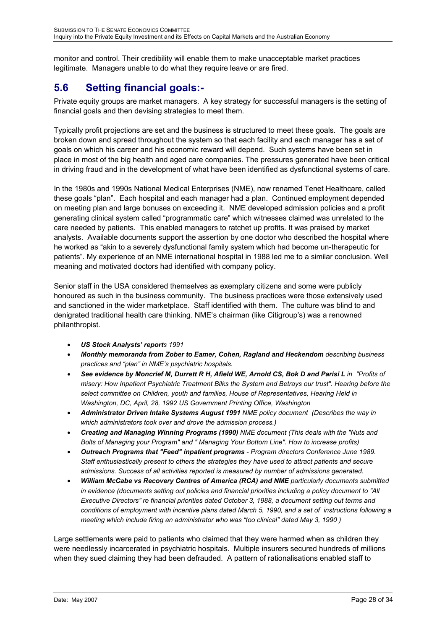<span id="page-27-0"></span>monitor and control. Their credibility will enable them to make unacceptable market practices legitimate. Managers unable to do what they require leave or are fired.

# <span id="page-27-1"></span>**5.6 Setting financial goals:-**

Private equity groups are market managers. A key strategy for successful managers is the setting of financial goals and then devising strategies to meet them.

goals on which his career and his economic reward will depend. Such systems have been set in . in driving fraud and in the development of what have been identified as dysfunctional systems of care Typically profit projections are set and the business is structured to meet these goals. The goals are broken down and spread throughout the system so that each facility and each manager has a set of place in most of the big health and aged care companies. The pressures generated have been critical

analysts. Available documents support the assertion by one doctor who described the hospital where he worked as "akin to a severely dysfunctional family system which had become un-therapeutic for patients". My experience of an NME international hospital in 1988 led me to a similar conclusion. Well In the 1980s and 1990s National Medical Enterprises (NME), now renamed Tenet Healthcare, called these goals "plan". Each hospital and each manager had a plan. Continued employment depended on meeting plan and large bonuses on exceeding it. NME developed admission policies and a profit generating clinical system called "programmatic care" which witnesses claimed was unrelated to the care needed by patients. This enabled managers to ratchet up profits. It was praised by market meaning and motivated doctors had identified with company policy.

honoured as such in the business community. The business practices were those extensively used and sanctioned in the wider marketplace. Staff identified with them. The culture was blind to and denigrated traditional health care thinking. NME's chairman (like Citigroup's) was a renowned philanth ropist. Senior staff in the USA considered themselves as exemplary citizens and some were publicly

- *US Stock Analystsí reports 1991*
- *Monthly memoranda from Zober to Eamer, Cohen, Ragland and Heckendom describing business*  practices and "plan" in NME's psychiatric hospitals.
- *d Parisi L in "Profits of See evidence by Moncrief M, Durrett R H, Afield WE, Arnold CS, Bok D an the misery: How Inpatient Psychiatric Treatment Bilks the System and Betrays our trust". Hearing before* select committee on Children, youth and families, House of Representatives, Hearing Held in *Washington, DC, April, 28, 1992 US Government Printing Office, Washington*
- **Administrator Driven Intake Systems August 1991** NME policy document (Describes the way in *which administrators took over and drove the admission process.)*
- *Creating and Managing Winning Programs (1990) NME document (This deals with the "Nuts and Bolts of Managing your Program" and " Managing Your Bottom Line". How to increase profits)*
- *Outreach Programs that "Feed" inpatient programs Program directors Conference June 1989. Staff enthusiastically present to others the strategies they have used to attract patients and secure admissions. Success of all activities reported is measured by number of admissions generated.*
- *in evidence (documents setting out policies and financial priorities including a policy document to "All Executive Directorsî re financial priorities dated October 3, 1988, a document setting out terms and a conditions of employment with incentive plans dated March 5, 1990, and a set of instructions following William McCabe vs Recovery Centres of America (RCA) and NME particularly documents submitted meeting which include firing an administrator who was ìtoo clinicalî dated May 3, 1990 )*

Large settlements were paid to patients who claimed that they were harmed when as children they were needlessly incarcerated in psychiatric hospitals. Multiple insurers secured hundreds of millions when they sued claiming they had been defrauded. A pattern of rationalisations enabled staff to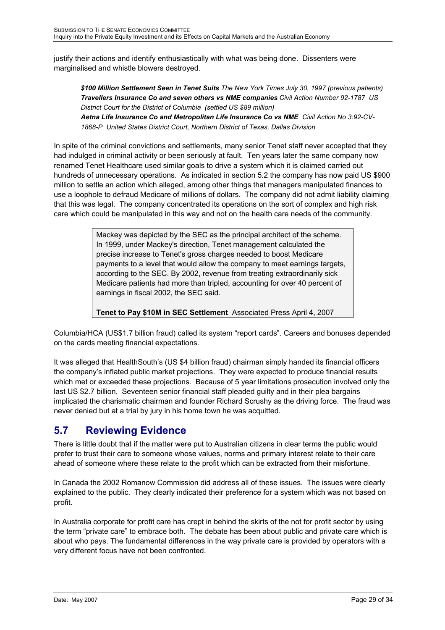<span id="page-28-0"></span>justify th eir actions and identify enthusiastically with what was being done. Dissenters were margina lised and whistle blowers destroyed.

*ts) \$100 Million Settlement Seen in Tenet Suits The New York Times July 30, 1997 (previous patien Travellers Insurance Co and seven others vs NME companies Civil Action Number 92-1787 US District Court for the District of Columbia (settled US \$89 million) Aetna Life Insurance Co and Metropolitan Life Insurance Co vs NME Civil Action No 3:92-CV-1868-P United States District Court, Northern District of Texas, Dallas Division* 

hundreds of unnecessary operations. As indicated in section 5.2 the company has now paid US \$900 use a loophole to defraud Medicare of millions of dollars. The company did not admit liability claiming that this was legal. The company concentrated its operations on the sort of complex and high risk care which could be manipulated in this way and not on the health care needs of the community. In spite of the criminal convictions and settlements, many senior Tenet staff never accepted that they had indulged in criminal activity or been seriously at fault. Ten years later the same company now renamed Tenet Healthcare used similar goals to drive a system which it is claimed carried out million to settle an action which alleged, among other things that managers manipulated finances to

> Mackey was depicted by the SEC as the principal architect of the scheme. In 1999, under Mackey's direction, Tenet management calculated the precise increase to Tenet's gross charges needed to boost Medicare payments to a level that would allow the company to meet earnings targets, according to the SEC. By 2002, revenue from treating extraordinarily sick Medicare patients had more than tripled, accounting for over 40 percent of earnings in fiscal 2002, the SEC said.

**Tenet to Pay \$10M in SEC Settlement** Associated Press April 4, 2007

Columbia/HCA (US\$1.7 billion fraud) called its system "report cards". Careers and bonuses depended on the cards meeting financial expectations.

It was alleged that HealthSouth's (US \$4 billion fraud) chairman simply handed its financial officers the company's inflated public market projections. They were expected to produce financial results which met or exceeded these projections. Because of 5 year limitations prosecution involved only the last US \$2.7 billion. Seventeen senior financial staff pleaded guilty and in their plea bargains implicated the charismatic chairman and founder Richard Scrushy as the driving force. The fraud was never denied but at a trial by jury in his home town he was acquitted.

## <span id="page-28-1"></span>**5.7 Reviewing Evidence**

There is little doubt that if the matter were put to Australian citizens in clear terms the public would prefer to trust their care to someone whose values, norms and primary interest relate to their care ahead of someone where these relate to the profit which can be extracted from their misfortune.

In Canada the 2002 Romanow Commission did address all of these issues. The issues were clearly explained to the public. They clearly indicated their preference for a system which was not based on profit.

In Australia corporate for profit care has crept in behind the skirts of the not for profit sector by using the term "private care" to embrace both. The debate has been about public and private care which is a about who pays. The fundamental differences in the way private care is provided by operators with very different focus have not been confronted.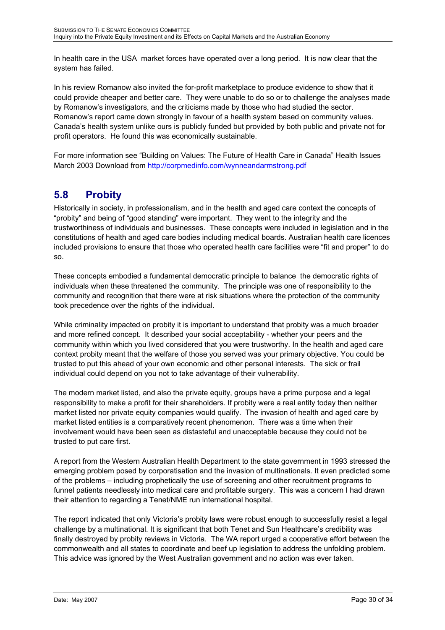<span id="page-29-0"></span>In health care in the USA market forces have operated over a long period. It is now clear that the system has failed.

In his review Romanow also invited the for-profit marketplace to produce evidence to show that it could provide cheaper and better care. They were unable to do so or to challenge the analyses made by Romanowís investigators, and the criticisms made by those who had studied the sector. Romanow's report came down strongly in favour of a health system based on community values. Canadaís health system unlike ours is publicly funded but provided by both public and private not for profit operators. He found this was economically sustainable.

For more information see "Building on Values: The Future of Health Care in Canada" Health Issues March 2003 Download from http://corpmedinfo.com/wynneandarmstrong.pdf

# <span id="page-29-1"></span>**5.8 Probity**

Historically in society, in professionalism, and in the health and aged care context the concepts of "probity" and being of "good standing" were important. They went to the integrity and the trustworthiness of individuals and businesses. These concepts were included in legislation and in the constitutions of health and aged care bodies including medical boards. Australian health care licences included provisions to ensure that those who operated health care facilities were "fit and proper" to do so.

These concepts embodied a fundamental democratic principle to balance the democratic rights of individuals when these threatened the community. The principle was one of responsibility to the community and recognition that there were at risk situations where the protection of the community took precedence over the rights of the individual.

community within which you lived considered that you were trustworthy. In the health and aged care context probity meant that the welfare of those you served was your primary objective. You could be While criminality impacted on probity it is important to understand that probity was a much broader and more refined concept. It described your social acceptability - whether your peers and the trusted to put this ahead of your own economic and other personal interests. The sick or frail individual could depend on you not to take advantage of their vulnerability.

The modern market listed, and also the private equity, groups have a prime purpose and a legal responsibility to make a profit for their shareholders. If probity were a real entity today then neither market listed nor private equity companies would qualify. The invasion of health and aged care by market listed entities is a comparatively recent phenomenon. There was a time when their involvement would have been seen as distasteful and unacceptable because they could not be trusted to put care first.

emerging problem posed by corporatisation and the invasion of multinationals. It even predicted some of the problems – including prophetically the use of screening and other recruitment programs to A report from the Western Australian Health Department to the state government in 1993 stressed the funnel patients needlessly into medical care and profitable surgery. This was a concern I had drawn their attention to regarding a Tenet/NME run international hospital.

challenge by a multinational. It is significant that both Tenet and Sun Healthcare's credibility was finally destroyed by probity reviews in Victoria. The WA report urged a cooperative effort between the commonwealth and all states to coordinate and beef up legislation to address the unfolding problem. This advice was ignored by the West Australian government and no action was ever taken. The report indicated that only Victoria's probity laws were robust enough to successfully resist a legal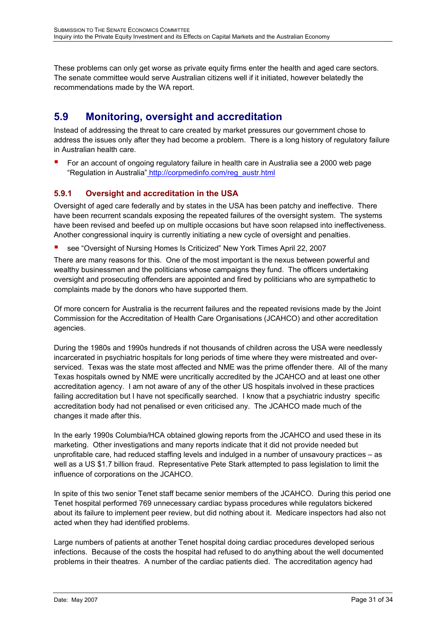<span id="page-30-0"></span>These problems can only get worse as private equity firms enter the health and aged care sectors. The senate committee would serve Australia n citizens well if it initiated, however belatedly the recommendations made by the WA report.

# <span id="page-30-1"></span>**5.9 Monitoring, oversight and accreditation**

address the issues only after they had become a problem. There is a long history of regulatory failure Instead of addressing the threat to care created by market pressures our government chose to in Australian health care.

**F** For an account of ongoing regulatory failure in health care in Australia see a 2000 web page "Regulation in Australia" http://corpmedinfo.com/reg\_austr.html

### **5.9.1 Oversight and accreditation in the USA**

have been revised and beefed up on multiple occasions but have soon relapsed into ineffectiveness. Another congressional inquiry is currently initiating a new cycle of oversight and penalties. Oversight of aged care federally and by states in the USA has been patchy and ineffective. There have been recurrent scandals exposing the repeated failures of the oversight system. The systems

see "Oversight of Nursing Homes Is Criticized" New York Times April 22, 2007

oversight and prosecuting offenders are appointed and fired by politicians who are sympathetic to omplaints made by the donors who have supported them. c There are many reasons for this. One of the most important is the nexus between powerful and wealthy businessmen and the politicians whose campaigns they fund. The officers undertaking

Commission for the Accreditation of Health Care Organisations (JCAHCO) and other accreditation agencies. Of more concern for Australia is the recurrent failures and the repeated revisions made by the Joint

During the 1980s and 1990s hundreds if not thousands of children across the USA were needlessly serviced. Texas was the state most affected and NME was the prime offender there. All of the many failing accreditation but I have not specifically searched. I know that a psychiatric industry specific accreditation body had not penalised or even criticised any. The JCAHCO made much of the changes it made after this. incarcerated in psychiatric hospitals for long periods of time where they were mistreated and over-Texas hospitals owned by NME were uncritically accredited by the JCAHCO and at least one other accreditation agency. I am not aware of any of the other US hospitals involved in these practices

well as a US \$1.7 billion fraud. Representative Pete Stark attempted to pass legislation to limit the influence of corporations on the JCAHCO. In the early 1990s Columbia/HCA obtained glowing reports from the JCAHCO and used these in its marketing. Other investigations and many reports indicate that it did not provide needed but unprofitable care, had reduced staffing levels and indulged in a number of unsavoury practices – as

In spite of this two senior Tenet staff became senior members of the JCAHCO. During this period one about its failure to implement peer review, but did nothing about it. Medicare inspectors had also not acted when they had identified problems. Tenet hospital performed 769 unnecessary cardiac bypass procedures while regulators bickered

infections. Because of the costs the hospital had refused to do anything about the well documented problems in their theatres. A number of the cardiac patients died. The accreditation agency had Large numbers of patients at another Tenet hospital doing cardiac procedures developed serious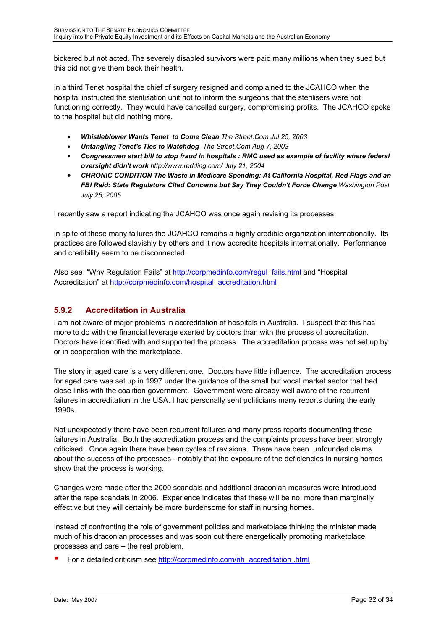<span id="page-31-0"></span>bickered but not acted. The severely disabled survivors were paid many millions when they sued but this did not give them back their health.

In a third Tenet hospital the chief of surgery resigned and complained to the JCAHCO when the hospital instructed the sterilisation unit not to inform the surgeons that the sterilisers were not functioning correctly. They would have cancelled surgery, compromising profits. The JCAHCO spoke to the hospital but did nothing more.

- *Whistleblower Wants Tenet to Come Clean The Street.Com Jul 25, 2003*
- *Untangling Tenet's Ties to Watchdog The Street.Com Aug 7, 2003*
- *Congressmen start bill to stop fraud in hospitals : RMC used as example of facility where federal oversight didn't work http://www.redding.com/ July 21, 2004*
- *CHRONIC CONDITION The Waste in Medicare Spending: At California Hospital, Red Flags and an FBI Raid: State Regulators Cited Concerns but Say They Couldn't Force Change Washington Post July 25, 2005*

I recently saw a report indicating the JCAHCO was once again revising its processes.

In spite of these many failures the JCAHCO remains a highly credible organization internationally. Its practices are followed slavishly by others and it now accredits hospitals internationally. Performance and credibility seem to be disconnected.

Also see "Why Regulation Fails" at [http://corpmedinfo.com/regul\\_fails.html](http://corpmedinfo.com/regul_fails.html) and "Hospital Accreditation" at http://corpmedinfo.com/hospital\_accreditation.html

## **5.9.2 Accreditation in Australia**

I am not aware of major problems in accreditation of hospitals in Australia. I suspect that this has more to do with the financial leverage exerted by doctors than with the process of accreditation. Doctors have identified with and supported the process. The accreditation process was not set up by or in cooperation with the marketplace.

The story in aged care is a very different one. Doctors have little influence. The accreditation process for aged care was set up in 1997 under the guidance of the small but vocal market sector that had close links with the coalition government. Government were already well aware of the recurrent failures in accreditation in the USA. I had personally sent politicians many reports during the early 1990s.

Not unexpectedly there have been recurrent failures and many press reports documenting these failures in Australia. Both the accreditation process and the complaints process have been strongly criticised. Once again there have been cycles of revisions. There have been unfounded claims about the success of the processes - notably that the exposure of the deficiencies in nursing homes show that the process is working.

Changes were made after the 2000 scandals and additional draconian measures were introduced after the rape scandals in 2006. Experience indicates that these will be no more than marginally effective but they will certainly be more burdensome for staff in nursing homes.

Instead of confronting the role of government policies and marketplace thinking the minister made much of his draconian processes and was soon out there energetically promoting marketplace processes and care  $-$  the real problem.

! For a detailed criticism see [http://corpmedinfo.com/nh\\_accreditation .html](http://corpmedinfo.com/nh_accreditation .html)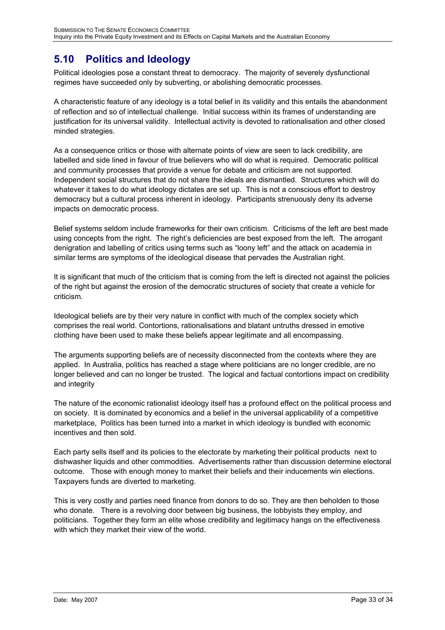# <span id="page-32-1"></span><span id="page-32-0"></span>**5.10 Politics and Ideology**

Political ideologies pose a constant threat to democracy. The majority of severely dysfunctional regimes have succeeded only by subverting, or abolishing democratic processes.

A characteristic feature of any ideology is a total belief in its validity and this entails the abandonment of reflection and so of intellectual challenge. Initial success within its frames of understanding are justification for its universal validity. Intellectual activity is devoted to rationalisation and other closed minded strategies.

As a consequence critics or those with alternate points of view are seen to lack credibility, are labelled and side lined in favour of true believers who will do what is required. Democratic political and community processes that provide a venue for debate and criticism are not supported. Independent social structures that do not share the ideals are dismantled. Structures which will do whatever it takes to do what ideology dictates are set up. This is not a conscious effort to destroy democracy but a cultural process inherent in ideology. Participants strenuously deny its adverse impacts on democratic process.

Belief systems seldom include frameworks for their own criticism. Criticisms of the left are best made using concepts from the right. The right's deficiencies are best exposed from the left. The arrogant denigration and labelling of critics using terms such as "loony left" and the attack on academia in similar terms are symptoms of the ideological disease that pervades the Australian right.

It is significant that much of the criticism that is coming from the left is directed not against the policies of the right but against the erosion of the democratic structures of society that create a vehicle for criticism.

Ideological beliefs are by their very nature in conflict with much of the complex society which comprises the real world. Contortions, rationalisations and blatant untruths dressed in emotive clothing have been used to make these beliefs appear legitimate and all encompassing.

The arguments supporting beliefs are of necessity disconnected from the contexts where they are applied. In Australia, politics has reached a stage where politicians are no longer credible, are no longer believed and can no longer be trusted. The logical and factual contortions impact on credibility and integrity

The nature of the economic rationalist ideology itself has a profound effect on the political process and on society. It is dominated by economics and a belief in the universal applicability of a competitive marketplace, Politics has been turned into a market in which ideology is bundled with economic incentives and then sold.

Each party sells itself and its policies to the electorate by marketing their political products next to dishwasher liquids and other commodities. Advertisements rather than discussion determine electoral outcome. Those with enough money to market their beliefs and their inducements win elections. Taxpayers funds are diverted to marketing.

This is very costly and parties need finance from donors to do so. They are then beholden to those who donate. There is a revolving door between big business, the lobbyists they employ, and politicians. Together they form an elite whose credibility and legitimacy hangs on the effectiveness with which they market their view of the world.